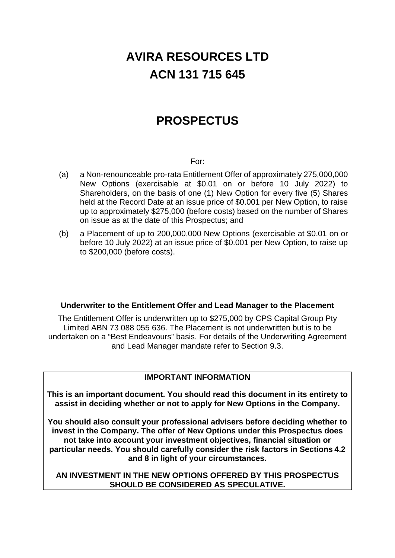# **AVIRA RESOURCES LTD ACN 131 715 645**

# **PROSPECTUS**

# For:

- (a) a Non-renounceable pro-rata Entitlement Offer of approximately 275,000,000 New Options (exercisable at \$0.01 on or before 10 July 2022) to Shareholders, on the basis of one (1) New Option for every five (5) Shares held at the Record Date at an issue price of \$0.001 per New Option, to raise up to approximately \$275,000 (before costs) based on the number of Shares on issue as at the date of this Prospectus; and
- (b) a Placement of up to 200,000,000 New Options (exercisable at \$0.01 on or before 10 July 2022) at an issue price of \$0.001 per New Option, to raise up to \$200,000 (before costs).

# **Underwriter to the Entitlement Offer and Lead Manager to the Placement**

The Entitlement Offer is underwritten up to \$275,000 by CPS Capital Group Pty Limited ABN 73 088 055 636. The Placement is not underwritten but is to be undertaken on a "Best Endeavours" basis. For details of the Underwriting Agreement and Lead Manager mandate refer to Section [9.3.](#page-36-0)

# **IMPORTANT INFORMATION**

**This is an important document. You should read this document in its entirety to assist in deciding whether or not to apply for New Options in the Company.** 

**You should also consult your professional advisers before deciding whether to invest in the Company. The offer of New Options under this Prospectus does not take into account your investment objectives, financial situation or particular needs. You should carefully consider the risk factors in Sections [4.2](#page-10-0) and [8](#page-29-0) in light of your circumstances.** 

**AN INVESTMENT IN THE NEW OPTIONS OFFERED BY THIS PROSPECTUS SHOULD BE CONSIDERED AS SPECULATIVE.**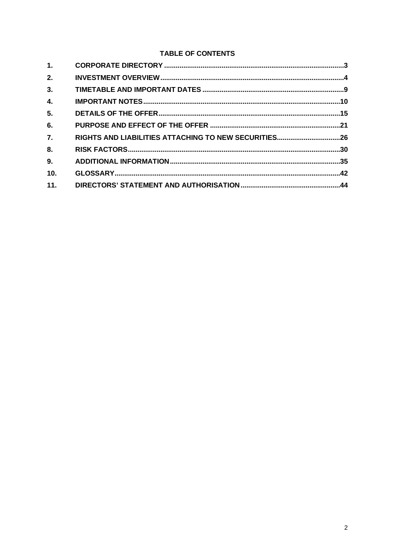# **TABLE OF CONTENTS**

| 1.               |  |
|------------------|--|
| 2.               |  |
| 3.               |  |
| $\overline{4}$ . |  |
| 5 <sub>1</sub>   |  |
| 6.               |  |
| 7.               |  |
| 8.               |  |
| 9.               |  |
| 10 <sub>1</sub>  |  |
| 11.              |  |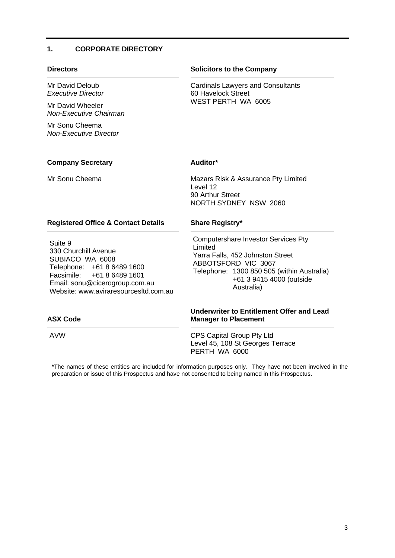# <span id="page-2-0"></span>**1. CORPORATE DIRECTORY**

Mr David Deloub *Executive Director*

Mr David Wheeler *Non-Executive Chairman*

Mr Sonu Cheema *Non-Executive Director*

# **Directors Solicitors to the Company**

Cardinals Lawyers and Consultants 60 Havelock Street WEST PERTH WA 6005

# **Company Secretary Auditor\***

Mr Sonu Cheema **Mazars Risk & Assurance Pty Limited** Level 12 90 Arthur Street NORTH SYDNEY NSW 2060

# **Registered Office & Contact Details Share Registry\***

Suite 9 330 Churchill Avenue SUBIACO WA 6008 Telephone: +61 8 6489 1600 Facsimile: +61 8 6489 1601 Email: sonu@cicerogroup.com.au Website: www.aviraresourcesltd.com.au

Computershare Investor Services Pty Limited Yarra Falls, 452 Johnston Street ABBOTSFORD VIC 3067 Telephone: 1300 850 505 (within Australia) +61 3 9415 4000 (outside Australia)

# **Underwriter to Entitlement Offer and Lead Manager to Placement**

AVW CPS Capital Group Pty Ltd Level 45, 108 St Georges Terrace PERTH WA 6000

\*The names of these entities are included for information purposes only. They have not been involved in the preparation or issue of this Prospectus and have not consented to being named in this Prospectus.

# **ASX Code**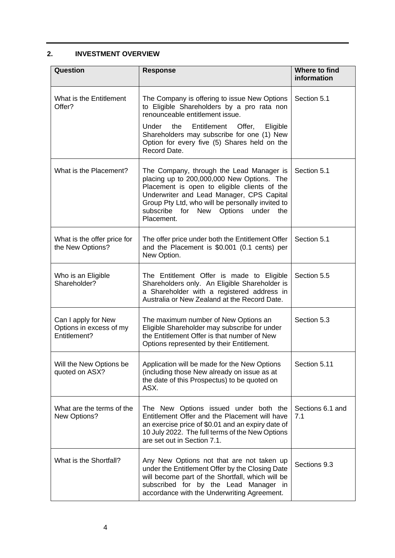# <span id="page-3-1"></span><span id="page-3-0"></span>**2. INVESTMENT OVERVIEW**

| Question                                                       | <b>Response</b>                                                                                                                                                                                                                                                                                    | Where to find<br>information |
|----------------------------------------------------------------|----------------------------------------------------------------------------------------------------------------------------------------------------------------------------------------------------------------------------------------------------------------------------------------------------|------------------------------|
| What is the Entitlement<br>Offer?                              | The Company is offering to issue New Options<br>to Eligible Shareholders by a pro rata non<br>renounceable entitlement issue.                                                                                                                                                                      | Section 5.1                  |
|                                                                | Under the<br>Entitlement<br>Offer,<br>Eligible<br>Shareholders may subscribe for one (1) New<br>Option for every five (5) Shares held on the<br>Record Date.                                                                                                                                       |                              |
| What is the Placement?                                         | The Company, through the Lead Manager is<br>placing up to 200,000,000 New Options. The<br>Placement is open to eligible clients of the<br>Underwriter and Lead Manager, CPS Capital<br>Group Pty Ltd, who will be personally invited to<br>subscribe for New Options<br>under<br>the<br>Placement. | Section 5.1                  |
| What is the offer price for<br>the New Options?                | The offer price under both the Entitlement Offer<br>and the Placement is \$0.001 (0.1 cents) per<br>New Option.                                                                                                                                                                                    | Section 5.1                  |
| Who is an Eligible<br>Shareholder?                             | The Entitlement Offer is made to Eligible<br>Shareholders only. An Eligible Shareholder is<br>a Shareholder with a registered address in<br>Australia or New Zealand at the Record Date.                                                                                                           | Section 5.5                  |
| Can I apply for New<br>Options in excess of my<br>Entitlement? | The maximum number of New Options an<br>Eligible Shareholder may subscribe for under<br>the Entitlement Offer is that number of New<br>Options represented by their Entitlement.                                                                                                                   | Section 5.3                  |
| Will the New Options be<br>quoted on ASX?                      | Application will be made for the New Options<br>(including those New already on issue as at<br>the date of this Prospectus) to be quoted on<br>ASX.                                                                                                                                                | Section 5.11                 |
| What are the terms of the<br>New Options?                      | The New Options issued under both the<br>Entitlement Offer and the Placement will have<br>an exercise price of \$0.01 and an expiry date of<br>10 July 2022. The full terms of the New Options<br>are set out in Section 7.1.                                                                      | Sections 6.1 and<br>7.1      |
| What is the Shortfall?                                         | Any New Options not that are not taken up<br>under the Entitlement Offer by the Closing Date<br>will become part of the Shortfall, which will be<br>subscribed for by the Lead Manager in<br>accordance with the Underwriting Agreement.                                                           | Sections 9.3                 |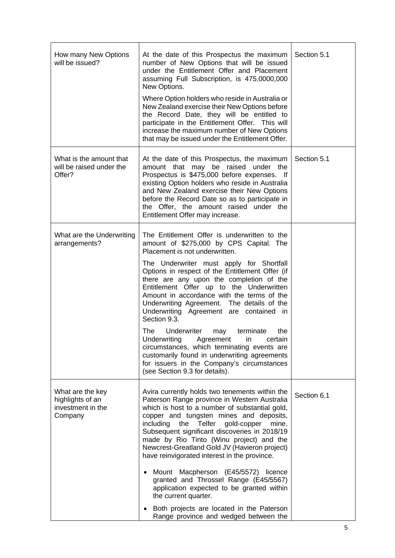| How many New Options<br>will be issued?                              | At the date of this Prospectus the maximum<br>number of New Options that will be issued<br>under the Entitlement Offer and Placement<br>assuming Full Subscription, is 475,0000,000<br>New Options.<br>Where Option holders who reside in Australia or<br>New Zealand exercise their New Options before<br>the Record Date, they will be entitled to<br>participate in the Entitlement Offer. This will<br>increase the maximum number of New Options<br>that may be issued under the Entitlement Offer.                                                                                                                                                                                                                                    | Section 5.1 |
|----------------------------------------------------------------------|---------------------------------------------------------------------------------------------------------------------------------------------------------------------------------------------------------------------------------------------------------------------------------------------------------------------------------------------------------------------------------------------------------------------------------------------------------------------------------------------------------------------------------------------------------------------------------------------------------------------------------------------------------------------------------------------------------------------------------------------|-------------|
| What is the amount that<br>will be raised under the<br>Offer?        | At the date of this Prospectus, the maximum<br>amount that may be raised under the<br>Prospectus is \$475,000 before expenses. If<br>existing Option holders who reside in Australia<br>and New Zealand exercise their New Options<br>before the Record Date so as to participate in<br>the Offer, the amount raised under the<br>Entitlement Offer may increase.                                                                                                                                                                                                                                                                                                                                                                           | Section 5.1 |
| What are the Underwriting<br>arrangements?                           | The Entitlement Offer is underwritten to the<br>amount of \$275,000 by CPS Capital. The<br>Placement is not underwritten.<br>The Underwriter must apply for Shortfall<br>Options in respect of the Entitlement Offer (if<br>there are any upon the completion of the<br>Entitlement Offer up to the Underwritten<br>Amount in accordance with the terms of the<br>Underwriting Agreement. The details of the<br>Underwriting Agreement are contained in<br>Section 9.3.<br>Underwriter may<br>terminate<br>The l<br>the<br>Underwriting Agreement in certain<br>circumstances, which terminating events are<br>customarily found in underwriting agreements<br>for issuers in the Company's circumstances<br>(see Section 9.3 for details). |             |
| What are the key<br>highlights of an<br>investment in the<br>Company | Avira currently holds two tenements within the<br>Paterson Range province in Western Australia<br>which is host to a number of substantial gold,<br>copper and tungsten mines and deposits,<br>including the Telfer gold-copper<br>mine.<br>Subsequent significant discoveries in 2018/19<br>made by Rio Tinto (Winu project) and the<br>Newcrest-Greatland Gold JV (Havieron project)<br>have reinvigorated interest in the province.<br>Mount Macpherson (E45/5572) licence<br>granted and Throssel Range (E45/5567)<br>application expected to be granted within<br>the current quarter.<br>Both projects are located in the Paterson<br>Range province and wedged between the                                                           | Section 6.1 |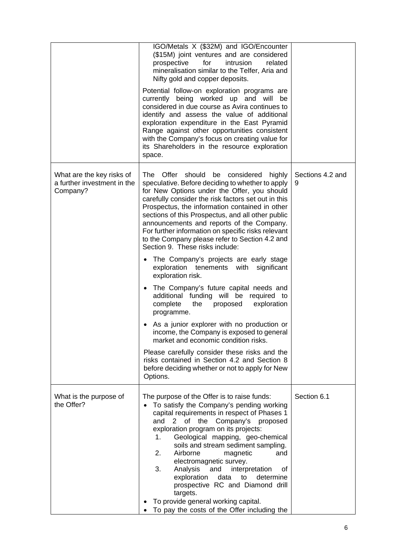|                                                                      | IGO/Metals X (\$32M) and IGO/Encounter<br>(\$15M) joint ventures and are considered<br>for<br>intrusion<br>prospective<br>related<br>mineralisation similar to the Telfer, Aria and<br>Nifty gold and copper deposits.<br>Potential follow-on exploration programs are<br>currently being worked up and will be<br>considered in due course as Avira continues to<br>identify and assess the value of additional<br>exploration expenditure in the East Pyramid<br>Range against other opportunities consistent<br>with the Company's focus on creating value for<br>its Shareholders in the resource exploration<br>space. |                       |
|----------------------------------------------------------------------|-----------------------------------------------------------------------------------------------------------------------------------------------------------------------------------------------------------------------------------------------------------------------------------------------------------------------------------------------------------------------------------------------------------------------------------------------------------------------------------------------------------------------------------------------------------------------------------------------------------------------------|-----------------------|
| What are the key risks of<br>a further investment in the<br>Company? | The<br>Offer<br>should<br>be<br>considered<br>highly<br>speculative. Before deciding to whether to apply<br>for New Options under the Offer, you should<br>carefully consider the risk factors set out in this<br>Prospectus, the information contained in other<br>sections of this Prospectus, and all other public<br>announcements and reports of the Company.<br>For further information on specific risks relevant<br>to the Company please refer to Section 4.2 and<br>Section 9. These risks include:<br>The Company's projects are early stage                                                                     | Sections 4.2 and<br>9 |
|                                                                      | exploration tenements with<br>significant<br>exploration risk.<br>The Company's future capital needs and<br>additional funding will be<br>required to<br>complete<br>exploration<br>the<br>proposed                                                                                                                                                                                                                                                                                                                                                                                                                         |                       |
|                                                                      | programme.<br>As a junior explorer with no production or<br>income, the Company is exposed to general<br>market and economic condition risks.                                                                                                                                                                                                                                                                                                                                                                                                                                                                               |                       |
|                                                                      | Please carefully consider these risks and the<br>risks contained in Section 4.2 and Section 8<br>before deciding whether or not to apply for New<br>Options.                                                                                                                                                                                                                                                                                                                                                                                                                                                                |                       |
| What is the purpose of<br>the Offer?                                 | The purpose of the Offer is to raise funds:<br>To satisfy the Company's pending working<br>capital requirements in respect of Phases 1<br>and<br>$\overline{2}$<br>of the<br>Company's proposed<br>exploration program on its projects:<br>Geological mapping, geo-chemical<br>1.<br>soils and stream sediment sampling.<br>Airborne<br>2.<br>magnetic<br>and<br>electromagnetic survey.<br>3.<br>Analysis<br>and<br>interpretation<br>οt<br>data<br>exploration<br>determine<br>to<br>prospective RC and Diamond drill<br>targets.<br>To provide general working capital.<br>To pay the costs of the Offer including the   | Section 6.1           |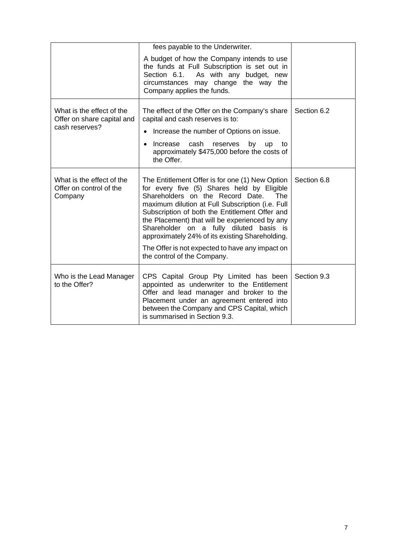|                                                                           | fees payable to the Underwriter.<br>A budget of how the Company intends to use<br>the funds at Full Subscription is set out in<br>Section 6.1.<br>As with any budget, new<br>circumstances may change the way the<br>Company applies the funds.                                                                                                                                                                                                                                  |             |
|---------------------------------------------------------------------------|----------------------------------------------------------------------------------------------------------------------------------------------------------------------------------------------------------------------------------------------------------------------------------------------------------------------------------------------------------------------------------------------------------------------------------------------------------------------------------|-------------|
| What is the effect of the<br>Offer on share capital and<br>cash reserves? | The effect of the Offer on the Company's share<br>capital and cash reserves is to:<br>Increase the number of Options on issue.<br>Increase<br>cash<br>reserves<br>by<br><b>up</b><br>to<br>approximately \$475,000 before the costs of<br>the Offer.                                                                                                                                                                                                                             | Section 6.2 |
| What is the effect of the<br>Offer on control of the<br>Company           | The Entitlement Offer is for one (1) New Option<br>for every five (5) Shares held by Eligible<br>Shareholders on the Record Date.<br>The<br>maximum dilution at Full Subscription (i.e. Full<br>Subscription of both the Entitlement Offer and<br>the Placement) that will be experienced by any<br>Shareholder on a fully diluted basis is<br>approximately 24% of its existing Shareholding.<br>The Offer is not expected to have any impact on<br>the control of the Company. | Section 6.8 |
| Who is the Lead Manager<br>to the Offer?                                  | CPS Capital Group Pty Limited has been<br>appointed as underwriter to the Entitlement<br>Offer and lead manager and broker to the<br>Placement under an agreement entered into<br>between the Company and CPS Capital, which<br>is summarised in Section 9.3.                                                                                                                                                                                                                    | Section 9.3 |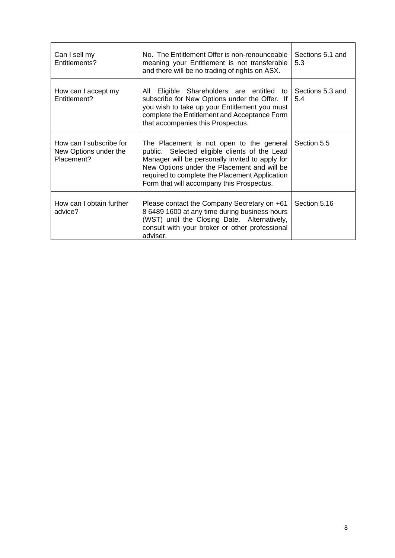| Can I sell my<br>Entitlements?                                 | No. The Entitlement Offer is non-renounceable<br>meaning your Entitlement is not transferable<br>and there will be no trading of rights on ASX.                                                                                                                                            | Sections 5.1 and<br>5.3 |
|----------------------------------------------------------------|--------------------------------------------------------------------------------------------------------------------------------------------------------------------------------------------------------------------------------------------------------------------------------------------|-------------------------|
| How can I accept my<br>Entitlement?                            | Eligible Shareholders are entitled to<br>All<br>subscribe for New Options under the Offer. If<br>you wish to take up your Entitlement you must<br>complete the Entitlement and Acceptance Form<br>that accompanies this Prospectus.                                                        | Sections 5.3 and<br>5.4 |
| How can I subscribe for<br>New Options under the<br>Placement? | The Placement is not open to the general<br>public. Selected eligible clients of the Lead<br>Manager will be personally invited to apply for<br>New Options under the Placement and will be<br>required to complete the Placement Application<br>Form that will accompany this Prospectus. | Section 5.5             |
| How can I obtain further<br>advice?                            | Please contact the Company Secretary on +61<br>8 6489 1600 at any time during business hours<br>(WST) until the Closing Date. Alternatively,<br>consult with your broker or other professional<br>adviser.                                                                                 | Section 5.16            |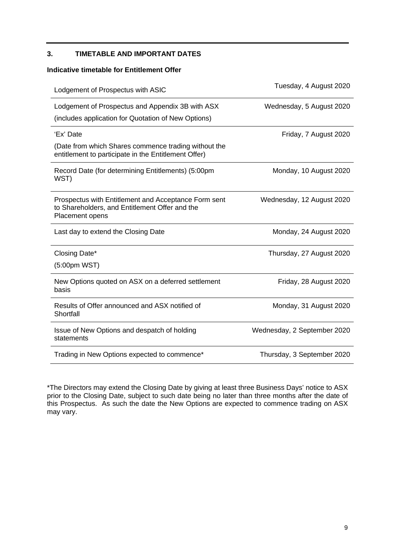# <span id="page-8-1"></span><span id="page-8-0"></span>**3. TIMETABLE AND IMPORTANT DATES**

# **Indicative timetable for Entitlement Offer**

| Lodgement of Prospectus with ASIC                                                                                         | Tuesday, 4 August 2020      |
|---------------------------------------------------------------------------------------------------------------------------|-----------------------------|
| Lodgement of Prospectus and Appendix 3B with ASX                                                                          | Wednesday, 5 August 2020    |
| (includes application for Quotation of New Options)                                                                       |                             |
| 'Ex' Date                                                                                                                 | Friday, 7 August 2020       |
| (Date from which Shares commence trading without the<br>entitlement to participate in the Entitlement Offer)              |                             |
| Record Date (for determining Entitlements) (5:00pm<br>WST)                                                                | Monday, 10 August 2020      |
| Prospectus with Entitlement and Acceptance Form sent<br>to Shareholders, and Entitlement Offer and the<br>Placement opens | Wednesday, 12 August 2020   |
| Last day to extend the Closing Date                                                                                       | Monday, 24 August 2020      |
| Closing Date*                                                                                                             | Thursday, 27 August 2020    |
| (5:00pm WST)                                                                                                              |                             |
| New Options quoted on ASX on a deferred settlement<br>basis                                                               | Friday, 28 August 2020      |
| Results of Offer announced and ASX notified of<br>Shortfall                                                               | Monday, 31 August 2020      |
| Issue of New Options and despatch of holding<br>statements                                                                | Wednesday, 2 September 2020 |
| Trading in New Options expected to commence*                                                                              | Thursday, 3 September 2020  |

\*The Directors may extend the Closing Date by giving at least three Business Days' notice to ASX prior to the Closing Date, subject to such date being no later than three months after the date of this Prospectus. As such the date the New Options are expected to commence trading on ASX may vary.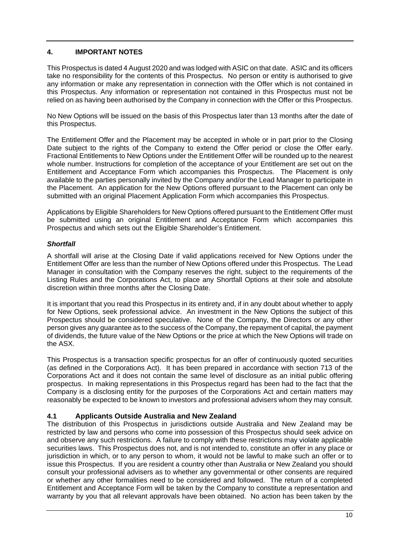# <span id="page-9-0"></span>**4. IMPORTANT NOTES**

This Prospectus is dated 4 August 2020 and was lodged with ASIC on that date. ASIC and its officers take no responsibility for the contents of this Prospectus. No person or entity is authorised to give any information or make any representation in connection with the Offer which is not contained in this Prospectus. Any information or representation not contained in this Prospectus must not be relied on as having been authorised by the Company in connection with the Offer or this Prospectus.

No New Options will be issued on the basis of this Prospectus later than 13 months after the date of this Prospectus.

The Entitlement Offer and the Placement may be accepted in whole or in part prior to the Closing Date subject to the rights of the Company to extend the Offer period or close the Offer early. Fractional Entitlements to New Options under the Entitlement Offer will be rounded up to the nearest whole number. Instructions for completion of the acceptance of your Entitlement are set out on the Entitlement and Acceptance Form which accompanies this Prospectus. The Placement is only available to the parties personally invited by the Company and/or the Lead Manager to participate in the Placement. An application for the New Options offered pursuant to the Placement can only be submitted with an original Placement Application Form which accompanies this Prospectus.

Applications by Eligible Shareholders for New Options offered pursuant to the Entitlement Offer must be submitted using an original Entitlement and Acceptance Form which accompanies this Prospectus and which sets out the Eligible Shareholder's Entitlement.

# *Shortfall*

A shortfall will arise at the Closing Date if valid applications received for New Options under the Entitlement Offer are less than the number of New Options offered under this Prospectus. The Lead Manager in consultation with the Company reserves the right, subject to the requirements of the Listing Rules and the Corporations Act, to place any Shortfall Options at their sole and absolute discretion within three months after the Closing Date.

It is important that you read this Prospectus in its entirety and, if in any doubt about whether to apply for New Options, seek professional advice. An investment in the New Options the subject of this Prospectus should be considered speculative. None of the Company, the Directors or any other person gives any guarantee as to the success of the Company, the repayment of capital, the payment of dividends, the future value of the New Options or the price at which the New Options will trade on the ASX.

This Prospectus is a transaction specific prospectus for an offer of continuously quoted securities (as defined in the Corporations Act). It has been prepared in accordance with section 713 of the Corporations Act and it does not contain the same level of disclosure as an initial public offering prospectus. In making representations in this Prospectus regard has been had to the fact that the Company is a disclosing entity for the purposes of the Corporations Act and certain matters may reasonably be expected to be known to investors and professional advisers whom they may consult.

# **4.1 Applicants Outside Australia and New Zealand**

The distribution of this Prospectus in jurisdictions outside Australia and New Zealand may be restricted by law and persons who come into possession of this Prospectus should seek advice on and observe any such restrictions. A failure to comply with these restrictions may violate applicable securities laws. This Prospectus does not, and is not intended to, constitute an offer in any place or jurisdiction in which, or to any person to whom, it would not be lawful to make such an offer or to issue this Prospectus. If you are resident a country other than Australia or New Zealand you should consult your professional advisers as to whether any governmental or other consents are required or whether any other formalities need to be considered and followed. The return of a completed Entitlement and Acceptance Form will be taken by the Company to constitute a representation and warranty by you that all relevant approvals have been obtained. No action has been taken by the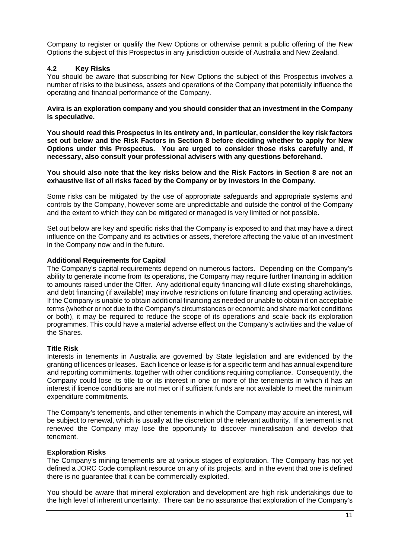Company to register or qualify the New Options or otherwise permit a public offering of the New Options the subject of this Prospectus in any jurisdiction outside of Australia and New Zealand.

# <span id="page-10-1"></span><span id="page-10-0"></span>**4.2 Key Risks**

You should be aware that subscribing for New Options the subject of this Prospectus involves a number of risks to the business, assets and operations of the Company that potentially influence the operating and financial performance of the Company.

**Avira is an exploration company and you should consider that an investment in the Company is speculative.**

**You should read this Prospectus in its entirety and, in particular, consider the key risk factors set out below and the Risk Factors in Section [8](#page-29-1) before deciding whether to apply for New Options under this Prospectus. You are urged to consider those risks carefully and, if necessary, also consult your professional advisers with any questions beforehand.** 

# **You should also note that the key risks below and the Risk Factors in Section [8](#page-29-1) are not an exhaustive list of all risks faced by the Company or by investors in the Company.**

Some risks can be mitigated by the use of appropriate safeguards and appropriate systems and controls by the Company, however some are unpredictable and outside the control of the Company and the extent to which they can be mitigated or managed is very limited or not possible.

Set out below are key and specific risks that the Company is exposed to and that may have a direct influence on the Company and its activities or assets, therefore affecting the value of an investment in the Company now and in the future.

# **Additional Requirements for Capital**

The Company's capital requirements depend on numerous factors. Depending on the Company's ability to generate income from its operations, the Company may require further financing in addition to amounts raised under the Offer. Any additional equity financing will dilute existing shareholdings, and debt financing (if available) may involve restrictions on future financing and operating activities. If the Company is unable to obtain additional financing as needed or unable to obtain it on acceptable terms (whether or not due to the Company's circumstances or economic and share market conditions or both), it may be required to reduce the scope of its operations and scale back its exploration programmes. This could have a material adverse effect on the Company's activities and the value of the Shares.

# **Title Risk**

Interests in tenements in Australia are governed by State legislation and are evidenced by the granting of licences or leases. Each licence or lease is for a specific term and has annual expenditure and reporting commitments, together with other conditions requiring compliance. Consequently, the Company could lose its title to or its interest in one or more of the tenements in which it has an interest if licence conditions are not met or if sufficient funds are not available to meet the minimum expenditure commitments.

The Company's tenements, and other tenements in which the Company may acquire an interest, will be subject to renewal, which is usually at the discretion of the relevant authority. If a tenement is not renewed the Company may lose the opportunity to discover mineralisation and develop that tenement.

# **Exploration Risks**

The Company's mining tenements are at various stages of exploration. The Company has not yet defined a JORC Code compliant resource on any of its projects, and in the event that one is defined there is no guarantee that it can be commercially exploited.

You should be aware that mineral exploration and development are high risk undertakings due to the high level of inherent uncertainty. There can be no assurance that exploration of the Company's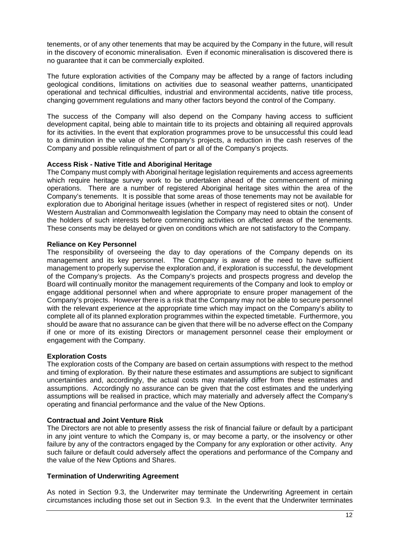tenements, or of any other tenements that may be acquired by the Company in the future, will result in the discovery of economic mineralisation. Even if economic mineralisation is discovered there is no guarantee that it can be commercially exploited.

The future exploration activities of the Company may be affected by a range of factors including geological conditions, limitations on activities due to seasonal weather patterns, unanticipated operational and technical difficulties, industrial and environmental accidents, native title process, changing government regulations and many other factors beyond the control of the Company.

The success of the Company will also depend on the Company having access to sufficient development capital, being able to maintain title to its projects and obtaining all required approvals for its activities. In the event that exploration programmes prove to be unsuccessful this could lead to a diminution in the value of the Company's projects, a reduction in the cash reserves of the Company and possible relinquishment of part or all of the Company's projects.

# **Access Risk - Native Title and Aboriginal Heritage**

The Company must comply with Aboriginal heritage legislation requirements and access agreements which require heritage survey work to be undertaken ahead of the commencement of mining operations. There are a number of registered Aboriginal heritage sites within the area of the Company's tenements. It is possible that some areas of those tenements may not be available for exploration due to Aboriginal heritage issues (whether in respect of registered sites or not). Under Western Australian and Commonwealth legislation the Company may need to obtain the consent of the holders of such interests before commencing activities on affected areas of the tenements. These consents may be delayed or given on conditions which are not satisfactory to the Company.

# **Reliance on Key Personnel**

The responsibility of overseeing the day to day operations of the Company depends on its management and its key personnel. The Company is aware of the need to have sufficient management to properly supervise the exploration and, if exploration is successful, the development of the Company's projects. As the Company's projects and prospects progress and develop the Board will continually monitor the management requirements of the Company and look to employ or engage additional personnel when and where appropriate to ensure proper management of the Company's projects. However there is a risk that the Company may not be able to secure personnel with the relevant experience at the appropriate time which may impact on the Company's ability to complete all of its planned exploration programmes within the expected timetable. Furthermore, you should be aware that no assurance can be given that there will be no adverse effect on the Company if one or more of its existing Directors or management personnel cease their employment or engagement with the Company.

# **Exploration Costs**

The exploration costs of the Company are based on certain assumptions with respect to the method and timing of exploration. By their nature these estimates and assumptions are subject to significant uncertainties and, accordingly, the actual costs may materially differ from these estimates and assumptions. Accordingly no assurance can be given that the cost estimates and the underlying assumptions will be realised in practice, which may materially and adversely affect the Company's operating and financial performance and the value of the New Options.

# **Contractual and Joint Venture Risk**

The Directors are not able to presently assess the risk of financial failure or default by a participant in any joint venture to which the Company is, or may become a party, or the insolvency or other failure by any of the contractors engaged by the Company for any exploration or other activity. Any such failure or default could adversely affect the operations and performance of the Company and the value of the New Options and Shares.

# **Termination of Underwriting Agreement**

As noted in Section [9.3,](#page-36-1) the Underwriter may terminate the Underwriting Agreement in certain circumstances including those set out in Section [9.3.](#page-36-1) In the event that the Underwriter terminates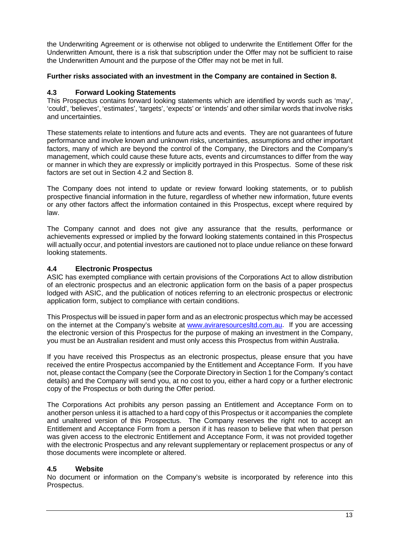the Underwriting Agreement or is otherwise not obliged to underwrite the Entitlement Offer for the Underwritten Amount, there is a risk that subscription under the Offer may not be sufficient to raise the Underwritten Amount and the purpose of the Offer may not be met in full.

# **Further risks associated with an investment in the Company are contained in Section [8.](#page-29-1)**

# **4.3 Forward Looking Statements**

This Prospectus contains forward looking statements which are identified by words such as 'may', 'could', 'believes', 'estimates', 'targets', 'expects' or 'intends' and other similar words that involve risks and uncertainties.

These statements relate to intentions and future acts and events. They are not guarantees of future performance and involve known and unknown risks, uncertainties, assumptions and other important factors, many of which are beyond the control of the Company, the Directors and the Company's management, which could cause these future acts, events and circumstances to differ from the way or manner in which they are expressly or implicitly portrayed in this Prospectus. Some of these risk factors are set out in Section [4.2](#page-10-1) and Section [8.](#page-29-1)

The Company does not intend to update or review forward looking statements, or to publish prospective financial information in the future, regardless of whether new information, future events or any other factors affect the information contained in this Prospectus, except where required by law.

The Company cannot and does not give any assurance that the results, performance or achievements expressed or implied by the forward looking statements contained in this Prospectus will actually occur, and potential investors are cautioned not to place undue reliance on these forward looking statements.

# **4.4 Electronic Prospectus**

ASIC has exempted compliance with certain provisions of the Corporations Act to allow distribution of an electronic prospectus and an electronic application form on the basis of a paper prospectus lodged with ASIC, and the publication of notices referring to an electronic prospectus or electronic application form, subject to compliance with certain conditions.

This Prospectus will be issued in paper form and as an electronic prospectus which may be accessed on the internet at the Company's website at [www.aviraresourcesltd.com.au.](http://www.aviraresourcesltd.com.au/) If you are accessing the electronic version of this Prospectus for the purpose of making an investment in the Company, you must be an Australian resident and must only access this Prospectus from within Australia.

If you have received this Prospectus as an electronic prospectus, please ensure that you have received the entire Prospectus accompanied by the Entitlement and Acceptance Form. If you have not, please contact the Company (see the Corporate Directory in Section 1 for the Company's contact details) and the Company will send you, at no cost to you, either a hard copy or a further electronic copy of the Prospectus or both during the Offer period.

The Corporations Act prohibits any person passing an Entitlement and Acceptance Form on to another person unless it is attached to a hard copy of this Prospectus or it accompanies the complete and unaltered version of this Prospectus. The Company reserves the right not to accept an Entitlement and Acceptance Form from a person if it has reason to believe that when that person was given access to the electronic Entitlement and Acceptance Form, it was not provided together with the electronic Prospectus and any relevant supplementary or replacement prospectus or any of those documents were incomplete or altered.

# **4.5 Website**

No document or information on the Company's website is incorporated by reference into this Prospectus.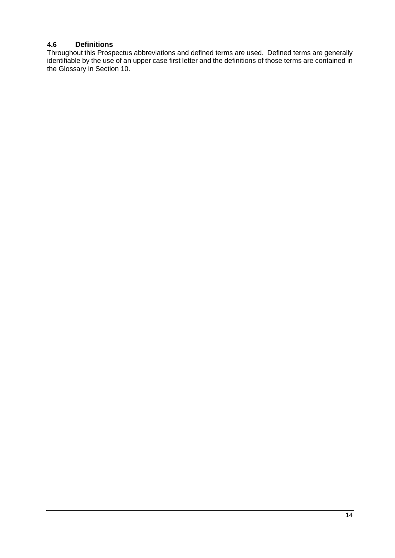# **4.6 Definitions**

Throughout this Prospectus abbreviations and defined terms are used. Defined terms are generally identifiable by the use of an upper case first letter and the definitions of those terms are contained in the Glossary in Section [10.](#page-41-1)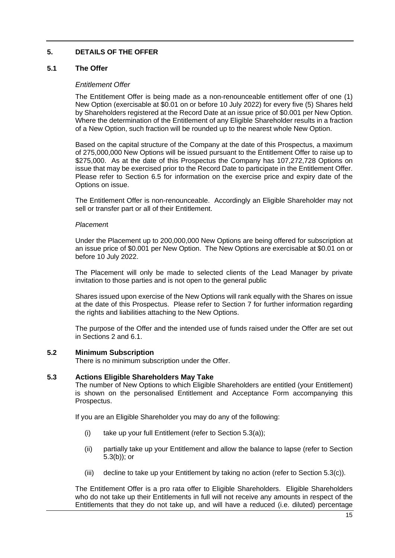# <span id="page-14-0"></span>**5. DETAILS OF THE OFFER**

# <span id="page-14-1"></span>**5.1 The Offer**

# *Entitlement Offer*

The Entitlement Offer is being made as a non-renounceable entitlement offer of one (1) New Option (exercisable at \$0.01 on or before 10 July 2022) for every five (5) Shares held by Shareholders registered at the Record Date at an issue price of \$0.001 per New Option. Where the determination of the Entitlement of any Eligible Shareholder results in a fraction of a New Option, such fraction will be rounded up to the nearest whole New Option.

Based on the capital structure of the Company at the date of this Prospectus, a maximum of 275,000,000 New Options will be issued pursuant to the Entitlement Offer to raise up to \$275,000. As at the date of this Prospectus the Company has 107,272,728 Options on issue that may be exercised prior to the Record Date to participate in the Entitlement Offer. Please refer to Section [6.5](#page-22-0) for information on the exercise price and expiry date of the Options on issue.

The Entitlement Offer is non-renounceable. Accordingly an Eligible Shareholder may not sell or transfer part or all of their Entitlement.

# *Placemen*t

Under the Placement up to 200,000,000 New Options are being offered for subscription at an issue price of \$0.001 per New Option. The New Options are exercisable at \$0.01 on or before 10 July 2022.

The Placement will only be made to selected clients of the Lead Manager by private invitation to those parties and is not open to the general public

Shares issued upon exercise of the New Options will rank equally with the Shares on issue at the date of this Prospectus. Please refer to Section [7](#page-25-2) for further information regarding the rights and liabilities attaching to the New Options.

The purpose of the Offer and the intended use of funds raised under the Offer are set out in Sections [2](#page-3-1) and [6.1.](#page-20-3)

# **5.2 Minimum Subscription**

There is no minimum subscription under the Offer.

# <span id="page-14-2"></span>**5.3 Actions Eligible Shareholders May Take**

The number of New Options to which Eligible Shareholders are entitled (your Entitlement) is shown on the personalised Entitlement and Acceptance Form accompanying this Prospectus.

If you are an Eligible Shareholder you may do any of the following:

- (i) take up your full Entitlement (refer to Section [5.3\(a\)\)](#page-15-1);
- (ii) partially take up your Entitlement and allow the balance to lapse (refer to Section [5.3\(b\)\)](#page-15-2); or
- (iii) decline to take up your Entitlement by taking no action (refer to Section [5.3\(c\)\)](#page-15-3).

The Entitlement Offer is a pro rata offer to Eligible Shareholders. Eligible Shareholders who do not take up their Entitlements in full will not receive any amounts in respect of the Entitlements that they do not take up, and will have a reduced (i.e. diluted) percentage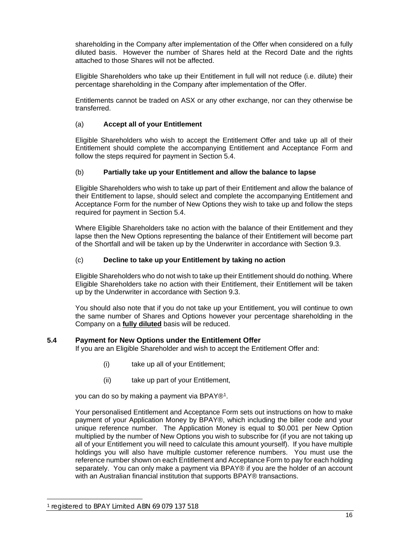shareholding in the Company after implementation of the Offer when considered on a fully diluted basis. However the number of Shares held at the Record Date and the rights attached to those Shares will not be affected.

Eligible Shareholders who take up their Entitlement in full will not reduce (i.e. dilute) their percentage shareholding in the Company after implementation of the Offer.

Entitlements cannot be traded on ASX or any other exchange, nor can they otherwise be transferred.

# <span id="page-15-1"></span>(a) **Accept all of your Entitlement**

Eligible Shareholders who wish to accept the Entitlement Offer and take up all of their Entitlement should complete the accompanying Entitlement and Acceptance Form and follow the steps required for payment in Section [5.4.](#page-15-4)

# <span id="page-15-2"></span>(b) **Partially take up your Entitlement and allow the balance to lapse**

Eligible Shareholders who wish to take up part of their Entitlement and allow the balance of their Entitlement to lapse, should select and complete the accompanying Entitlement and Acceptance Form for the number of New Options they wish to take up and follow the steps required for payment in Section [5.4.](#page-15-4)

Where Eligible Shareholders take no action with the balance of their Entitlement and they lapse then the New Options representing the balance of their Entitlement will become part of the Shortfall and will be taken up by the Underwriter in accordance with Section [9.3.](#page-36-1)

# <span id="page-15-3"></span>(c) **Decline to take up your Entitlement by taking no action**

Eligible Shareholders who do not wish to take up their Entitlement should do nothing. Where Eligible Shareholders take no action with their Entitlement, their Entitlement will be taken up by the Underwriter in accordance with Section [9.3.](#page-36-1)

You should also note that if you do not take up your Entitlement, you will continue to own the same number of Shares and Options however your percentage shareholding in the Company on a **fully diluted** basis will be reduced.

# <span id="page-15-4"></span><span id="page-15-0"></span>**5.4 Payment for New Options under the Entitlement Offer**

If you are an Eligible Shareholder and wish to accept the Entitlement Offer and:

- (i) take up all of your Entitlement;
- (ii) take up part of your Entitlement,

you can do so by making a payment via BPAY®[1.](#page-15-5)

Your personalised Entitlement and Acceptance Form sets out instructions on how to make payment of your Application Money by BPAY®, which including the biller code and your unique reference number. The Application Money is equal to \$0.001 per New Option multiplied by the number of New Options you wish to subscribe for (if you are not taking up all of your Entitlement you will need to calculate this amount yourself). If you have multiple holdings you will also have multiple customer reference numbers. You must use the reference number shown on each Entitlement and Acceptance Form to pay for each holding separately. You can only make a payment via BPAY® if you are the holder of an account with an Australian financial institution that supports BPAY<sup>®</sup> transactions.

<span id="page-15-5"></span><sup>1</sup> registered to BPAY Limited ABN 69 079 137 518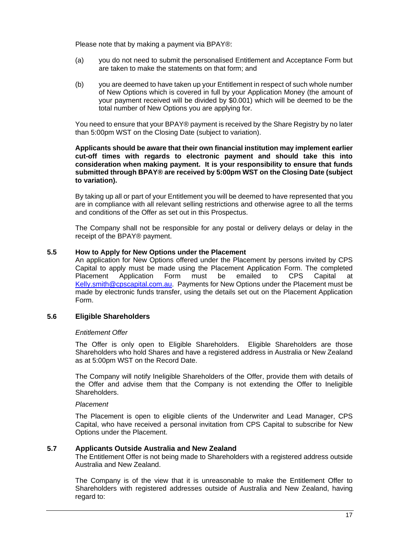Please note that by making a payment via BPAY®:

- (a) you do not need to submit the personalised Entitlement and Acceptance Form but are taken to make the statements on that form; and
- (b) you are deemed to have taken up your Entitlement in respect of such whole number of New Options which is covered in full by your Application Money (the amount of your payment received will be divided by \$0.001) which will be deemed to be the total number of New Options you are applying for.

You need to ensure that your BPAY® payment is received by the Share Registry by no later than 5:00pm WST on the Closing Date (subject to variation).

# **Applicants should be aware that their own financial institution may implement earlier cut-off times with regards to electronic payment and should take this into consideration when making payment. It is your responsibility to ensure that funds submitted through BPAY® are received by 5:00pm WST on the Closing Date (subject to variation).**

By taking up all or part of your Entitlement you will be deemed to have represented that you are in compliance with all relevant selling restrictions and otherwise agree to all the terms and conditions of the Offer as set out in this Prospectus.

The Company shall not be responsible for any postal or delivery delays or delay in the receipt of the BPAY® payment.

# <span id="page-16-1"></span><span id="page-16-0"></span>**5.5 How to Apply for New Options under the Placement**

An application for New Options offered under the Placement by persons invited by CPS Capital to apply must be made using the Placement Application Form. The completed Placement Application Form must be emailed to CPS Capital at [Kelly.smith@cpscapital.com.au.](mailto:Kelly.smith@cpscapital.com.au) Payments for New Options under the Placement must be made by electronic funds transfer, using the details set out on the Placement Application Form.

# **5.6 Eligible Shareholders**

## *Entitlement Offer*

The Offer is only open to Eligible Shareholders. Eligible Shareholders are those Shareholders who hold Shares and have a registered address in Australia or New Zealand as at 5:00pm WST on the Record Date.

The Company will notify Ineligible Shareholders of the Offer, provide them with details of the Offer and advise them that the Company is not extending the Offer to Ineligible Shareholders.

## *Placement*

The Placement is open to eligible clients of the Underwriter and Lead Manager, CPS Capital, who have received a personal invitation from CPS Capital to subscribe for New Options under the Placement.

# **5.7 Applicants Outside Australia and New Zealand**

The Entitlement Offer is not being made to Shareholders with a registered address outside Australia and New Zealand.

The Company is of the view that it is unreasonable to make the Entitlement Offer to Shareholders with registered addresses outside of Australia and New Zealand, having regard to: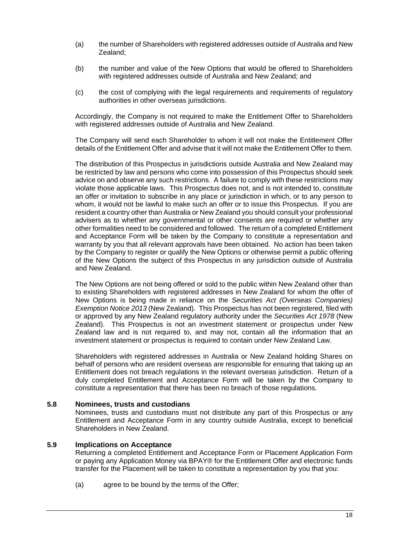- (a) the number of Shareholders with registered addresses outside of Australia and New Zealand;
- (b) the number and value of the New Options that would be offered to Shareholders with registered addresses outside of Australia and New Zealand; and
- (c) the cost of complying with the legal requirements and requirements of regulatory authorities in other overseas jurisdictions.

Accordingly, the Company is not required to make the Entitlement Offer to Shareholders with registered addresses outside of Australia and New Zealand.

The Company will send each Shareholder to whom it will not make the Entitlement Offer details of the Entitlement Offer and advise that it will not make the Entitlement Offer to them.

The distribution of this Prospectus in jurisdictions outside Australia and New Zealand may be restricted by law and persons who come into possession of this Prospectus should seek advice on and observe any such restrictions. A failure to comply with these restrictions may violate those applicable laws. This Prospectus does not, and is not intended to, constitute an offer or invitation to subscribe in any place or jurisdiction in which, or to any person to whom, it would not be lawful to make such an offer or to issue this Prospectus. If you are resident a country other than Australia or New Zealand you should consult your professional advisers as to whether any governmental or other consents are required or whether any other formalities need to be considered and followed. The return of a completed Entitlement and Acceptance Form will be taken by the Company to constitute a representation and warranty by you that all relevant approvals have been obtained. No action has been taken by the Company to register or qualify the New Options or otherwise permit a public offering of the New Options the subject of this Prospectus in any jurisdiction outside of Australia and New Zealand.

The New Options are not being offered or sold to the public within New Zealand other than to existing Shareholders with registered addresses in New Zealand for whom the offer of New Options is being made in reliance on the *Securities Act (Overseas Companies) Exemption Notice 2013* (New Zealand). This Prospectus has not been registered, filed with or approved by any New Zealand regulatory authority under the *Securities Act 1978* (New Zealand). This Prospectus is not an investment statement or prospectus under New Zealand law and is not required to, and may not, contain all the information that an investment statement or prospectus is required to contain under New Zealand Law.

Shareholders with registered addresses in Australia or New Zealand holding Shares on behalf of persons who are resident overseas are responsible for ensuring that taking up an Entitlement does not breach regulations in the relevant overseas jurisdiction. Return of a duly completed Entitlement and Acceptance Form will be taken by the Company to constitute a representation that there has been no breach of those regulations.

# **5.8 Nominees, trusts and custodians**

Nominees, trusts and custodians must not distribute any part of this Prospectus or any Entitlement and Acceptance Form in any country outside Australia, except to beneficial Shareholders in New Zealand.

## **5.9 Implications on Acceptance**

Returning a completed Entitlement and Acceptance Form or Placement Application Form or paying any Application Money via BPAY® for the Entitlement Offer and electronic funds transfer for the Placement will be taken to constitute a representation by you that you:

(a) agree to be bound by the terms of the Offer;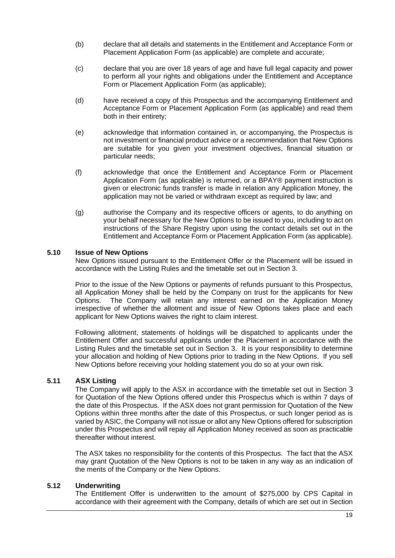- (b) declare that all details and statements in the Entitlement and Acceptance Form or Placement Application Form (as applicable) are complete and accurate;
- (c) declare that you are over 18 years of age and have full legal capacity and power to perform all your rights and obligations under the Entitlement and Acceptance Form or Placement Application Form (as applicable);
- (d) have received a copy of this Prospectus and the accompanying Entitlement and Acceptance Form or Placement Application Form (as applicable) and read them both in their entirety;
- (e) acknowledge that information contained in, or accompanying, the Prospectus is not investment or financial product advice or a recommendation that New Options are suitable for you given your investment objectives, financial situation or particular needs;
- (f) acknowledge that once the Entitlement and Acceptance Form or Placement Application Form (as applicable) is returned, or a BPAY® payment instruction is given or electronic funds transfer is made in relation any Application Money, the application may not be varied or withdrawn except as required by law; and
- (g) authorise the Company and its respective officers or agents, to do anything on your behalf necessary for the New Options to be issued to you, including to act on instructions of the Share Registry upon using the contact details set out in the Entitlement and Acceptance Form or Placement Application Form (as applicable).

# **5.10 Issue of New Options**

New Options issued pursuant to the Entitlement Offer or the Placement will be issued in accordance with the Listing Rules and the timetable set out in Section 3.

Prior to the issue of the New Options or payments of refunds pursuant to this Prospectus, all Application Money shall be held by the Company on trust for the applicants for New Options. The Company will retain any interest earned on the Application Money irrespective of whether the allotment and issue of New Options takes place and each applicant for New Options waives the right to claim interest.

Following allotment, statements of holdings will be dispatched to applicants under the Entitlement Offer and successful applicants under the Placement in accordance with the Listing Rules and the timetable set out in Section [3.](#page-8-1) It is your responsibility to determine your allocation and holding of New Options prior to trading in the New Options. If you sell New Options before receiving your holding statement you do so at your own risk.

# <span id="page-18-0"></span>**5.11 ASX Listing**

The Company will apply to the ASX in accordance with the timetable set out in Section [3](#page-8-1) for Quotation of the New Options offered under this Prospectus which is within 7 days of the date of this Prospectus. If the ASX does not grant permission for Quotation of the New Options within three months after the date of this Prospectus, or such longer period as is varied by ASIC, the Company will not issue or allot any New Options offered for subscription under this Prospectus and will repay all Application Money received as soon as practicable thereafter without interest.

The ASX takes no responsibility for the contents of this Prospectus. The fact that the ASX may grant Quotation of the New Options is not to be taken in any way as an indication of the merits of the Company or the New Options.

# **5.12 Underwriting**

The Entitlement Offer is underwritten to the amount of \$275,000 by CPS Capital in accordance with their agreement with the Company, details of which are set out in Section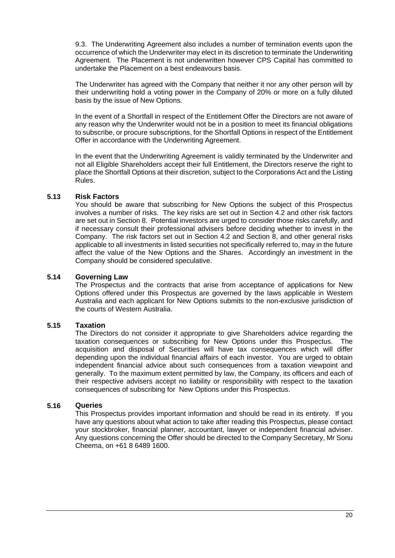[9.3.](#page-36-1) The Underwriting Agreement also includes a number of termination events upon the occurrence of which the Underwriter may elect in its discretion to terminate the Underwriting Agreement. The Placement is not underwritten however CPS Capital has committed to undertake the Placement on a best endeavours basis.

The Underwriter has agreed with the Company that neither it nor any other person will by their underwriting hold a voting power in the Company of 20% or more on a fully diluted basis by the issue of New Options.

In the event of a Shortfall in respect of the Entitlement Offer the Directors are not aware of any reason why the Underwriter would not be in a position to meet its financial obligations to subscribe, or procure subscriptions, for the Shortfall Options in respect of the Entitlement Offer in accordance with the Underwriting Agreement.

In the event that the Underwriting Agreement is validly terminated by the Underwriter and not all Eligible Shareholders accept their full Entitlement, the Directors reserve the right to place the Shortfall Options at their discretion, subject to the Corporations Act and the Listing Rules.

# **5.13 Risk Factors**

You should be aware that subscribing for New Options the subject of this Prospectus involves a number of risks. The key risks are set out in Section [4.2](#page-10-1) and other risk factors are set out in Section [8.](#page-29-1) Potential investors are urged to consider those risks carefully, and if necessary consult their professional advisers before deciding whether to invest in the Company. The risk factors set out in Section [4.2](#page-10-1) and Section [8,](#page-29-1) and other general risks applicable to all investments in listed securities not specifically referred to, may in the future affect the value of the New Options and the Shares. Accordingly an investment in the Company should be considered speculative.

# **5.14 Governing Law**

The Prospectus and the contracts that arise from acceptance of applications for New Options offered under this Prospectus are governed by the laws applicable in Western Australia and each applicant for New Options submits to the non-exclusive jurisdiction of the courts of Western Australia.

# **5.15 Taxation**

The Directors do not consider it appropriate to give Shareholders advice regarding the taxation consequences or subscribing for New Options under this Prospectus. The acquisition and disposal of Securities will have tax consequences which will differ depending upon the individual financial affairs of each investor. You are urged to obtain independent financial advice about such consequences from a taxation viewpoint and generally. To the maximum extent permitted by law, the Company, its officers and each of their respective advisers accept no liability or responsibility with respect to the taxation consequences of subscribing for New Options under this Prospectus.

# <span id="page-19-0"></span>**5.16 Queries**

This Prospectus provides important information and should be read in its entirety. If you have any questions about what action to take after reading this Prospectus, please contact your stockbroker, financial planner, accountant, lawyer or independent financial adviser. Any questions concerning the Offer should be directed to the Company Secretary, Mr Sonu Cheema, on +61 8 6489 1600.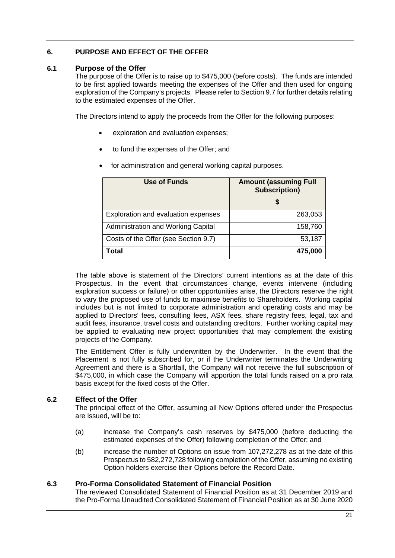# <span id="page-20-0"></span>**6. PURPOSE AND EFFECT OF THE OFFER**

# <span id="page-20-3"></span><span id="page-20-1"></span>**6.1 Purpose of the Offer**

The purpose of the Offer is to raise up to \$475,000 (before costs). The funds are intended to be first applied towards meeting the expenses of the Offer and then used for ongoing exploration of the Company's projects. Please refer to Sectio[n 9.7](#page-39-0) for further details relating to the estimated expenses of the Offer.

The Directors intend to apply the proceeds from the Offer for the following purposes:

- exploration and evaluation expenses;
- to fund the expenses of the Offer; and
- for administration and general working capital purposes.

| Use of Funds                         | <b>Amount (assuming Full</b><br><b>Subscription)</b> |
|--------------------------------------|------------------------------------------------------|
|                                      | \$                                                   |
| Exploration and evaluation expenses  | 263,053                                              |
| Administration and Working Capital   | 158,760                                              |
| Costs of the Offer (see Section 9.7) | 53,187                                               |
| Total                                | 475,000                                              |

The table above is statement of the Directors' current intentions as at the date of this Prospectus. In the event that circumstances change, events intervene (including exploration success or failure) or other opportunities arise, the Directors reserve the right to vary the proposed use of funds to maximise benefits to Shareholders. Working capital includes but is not limited to corporate administration and operating costs and may be applied to Directors' fees, consulting fees, ASX fees, share registry fees, legal, tax and audit fees, insurance, travel costs and outstanding creditors. Further working capital may be applied to evaluating new project opportunities that may complement the existing projects of the Company.

The Entitlement Offer is fully underwritten by the Underwriter. In the event that the Placement is not fully subscribed for, or if the Underwriter terminates the Underwriting Agreement and there is a Shortfall, the Company will not receive the full subscription of \$475,000, in which case the Company will apportion the total funds raised on a pro rata basis except for the fixed costs of the Offer.

# <span id="page-20-2"></span>**6.2 Effect of the Offer**

The principal effect of the Offer, assuming all New Options offered under the Prospectus are issued, will be to:

- (a) increase the Company's cash reserves by \$475,000 (before deducting the estimated expenses of the Offer) following completion of the Offer; and
- (b) increase the number of Options on issue from 107,272,278 as at the date of this Prospectus to 582,272,728 following completion of the Offer, assuming no existing Option holders exercise their Options before the Record Date.

# **6.3 Pro-Forma Consolidated Statement of Financial Position**

The reviewed Consolidated Statement of Financial Position as at 31 December 2019 and the Pro-Forma Unaudited Consolidated Statement of Financial Position as at 30 June 2020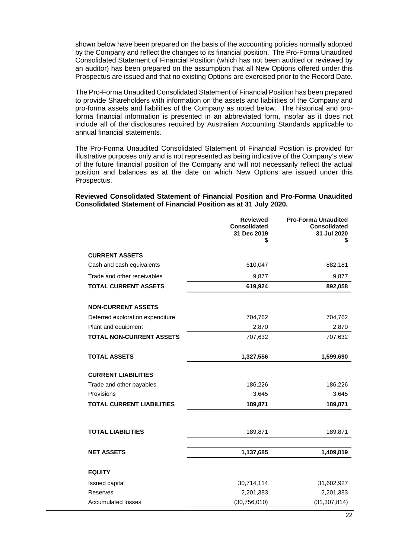shown below have been prepared on the basis of the accounting policies normally adopted by the Company and reflect the changes to its financial position. The Pro-Forma Unaudited Consolidated Statement of Financial Position (which has not been audited or reviewed by an auditor) has been prepared on the assumption that all New Options offered under this Prospectus are issued and that no existing Options are exercised prior to the Record Date.

The Pro-Forma Unaudited Consolidated Statement of Financial Position has been prepared to provide Shareholders with information on the assets and liabilities of the Company and pro-forma assets and liabilities of the Company as noted below. The historical and proforma financial information is presented in an abbreviated form, insofar as it does not include all of the disclosures required by Australian Accounting Standards applicable to annual financial statements.

The Pro-Forma Unaudited Consolidated Statement of Financial Position is provided for illustrative purposes only and is not represented as being indicative of the Company's view of the future financial position of the Company and will not necessarily reflect the actual position and balances as at the date on which New Options are issued under this Prospectus.

**Reviewed Consolidated Statement of Financial Position and Pro-Forma Unaudited Consolidated Statement of Financial Position as at 31 July 2020.**

| <b>Reviewed</b><br><b>Consolidated</b><br>31 Dec 2019<br>\$ | <b>Pro-Forma Unaudited</b><br><b>Consolidated</b><br>31 Jul 2020<br>\$ |
|-------------------------------------------------------------|------------------------------------------------------------------------|
|                                                             |                                                                        |
| 610,047                                                     | 882,181                                                                |
| 9,877                                                       | 9,877                                                                  |
| 619,924                                                     | 892,058                                                                |
|                                                             |                                                                        |
| 704,762                                                     | 704,762                                                                |
| 2,870                                                       | 2,870                                                                  |
| 707,632                                                     | 707,632                                                                |
| 1,327,556                                                   | 1,599,690                                                              |
|                                                             |                                                                        |
| 186,226                                                     | 186,226                                                                |
| 3,645                                                       | 3,645                                                                  |
| 189,871                                                     | 189,871                                                                |
| 189,871                                                     | 189,871                                                                |
| 1,137,685                                                   | 1,409,819                                                              |
|                                                             |                                                                        |
| 30,714,114                                                  | 31,602,927                                                             |
| 2,201,383                                                   | 2,201,383                                                              |
| (30, 756, 010)                                              | (31, 307, 814)                                                         |
|                                                             |                                                                        |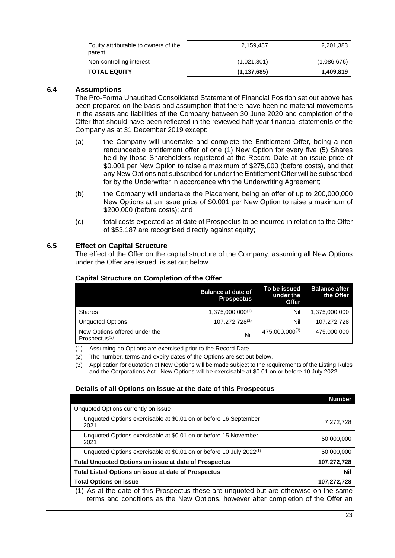| <b>TOTAL EQUITY</b>                            | (1, 137, 685) | 1,409,819   |
|------------------------------------------------|---------------|-------------|
| Non-controlling interest                       | (1,021,801)   | (1,086,676) |
| Equity attributable to owners of the<br>parent | 2.159.487     | 2,201,383   |

# **6.4 Assumptions**

The Pro-Forma Unaudited Consolidated Statement of Financial Position set out above has been prepared on the basis and assumption that there have been no material movements in the assets and liabilities of the Company between 30 June 2020 and completion of the Offer that should have been reflected in the reviewed half-year financial statements of the Company as at 31 December 2019 except:

- (a) the Company will undertake and complete the Entitlement Offer, being a non renounceable entitlement offer of one (1) New Option for every five (5) Shares held by those Shareholders registered at the Record Date at an issue price of \$0.001 per New Option to raise a maximum of \$275,000 (before costs), and that any New Options not subscribed for under the Entitlement Offer will be subscribed for by the Underwriter in accordance with the Underwriting Agreement;
- (b) the Company will undertake the Placement, being an offer of up to 200,000,000 New Options at an issue price of \$0.001 per New Option to raise a maximum of \$200,000 (before costs); and
- (c) total costs expected as at date of Prospectus to be incurred in relation to the Offer of \$53,187 are recognised directly against equity;

# <span id="page-22-0"></span>**6.5 Effect on Capital Structure**

The effect of the Offer on the capital structure of the Company, assuming all New Options under the Offer are issued, is set out below.

|                                                   | <b>Balance at date of</b><br><b>Prospectus</b> | To be issued<br>under the<br><b>Offer</b> | <b>Balance after</b><br>the Offer |
|---------------------------------------------------|------------------------------------------------|-------------------------------------------|-----------------------------------|
| <b>Shares</b>                                     | $1,375,000,000^{(1)}$                          | Nil                                       | 1,375,000,000                     |
| <b>Unquoted Options</b>                           | 107,272,728(2)                                 | Nil                                       | 107,272,728                       |
| New Options offered under the<br>Prospectus $(2)$ | Nil                                            | 475,000,000(3)                            | 475,000,000                       |

# **Capital Structure on Completion of the Offer**

(1) Assuming no Options are exercised prior to the Record Date.

(2) The number, terms and expiry dates of the Options are set out below.

# **Details of all Options on issue at the date of this Prospectus**

|                                                                                            | <b>Number</b> |  |
|--------------------------------------------------------------------------------------------|---------------|--|
| Unquoted Options currently on issue                                                        |               |  |
| Unquoted Options exercisable at \$0.01 on or before 16 September<br>2021                   | 7,272,728     |  |
| Unquoted Options exercisable at \$0.01 on or before 15 November<br>2021                    | 50,000,000    |  |
| Unquoted Options exercisable at \$0.01 on or before 10 July 2022 <sup>(1)</sup>            | 50,000,000    |  |
| Total Unquoted Options on issue at date of Prospectus                                      | 107,272,728   |  |
| Total Listed Options on issue at date of Prospectus                                        | Nil           |  |
| <b>Total Options on issue</b>                                                              | 107,272,728   |  |
| $(4)$ , An at the data of this Dreapeatus these are unquated but are athorouse an the same |               |  |

(1) As at the date of this Prospectus these are unquoted but are otherwise on the same terms and conditions as the New Options, however after completion of the Offer an

<sup>(3)</sup> Application for quotation of New Options will be made subject to the requirements of the Listing Rules and the Corporations Act. New Options will be exercisable at \$0.01 on or before 10 July 2022.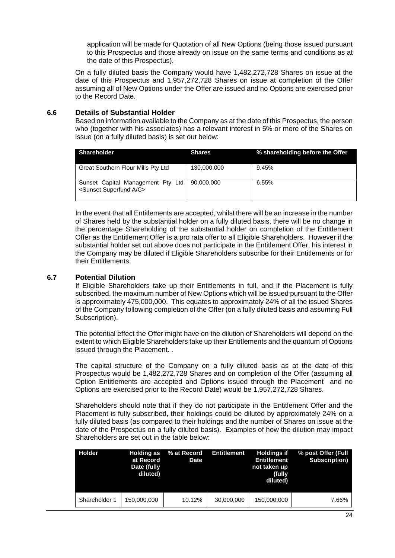application will be made for Quotation of all New Options (being those issued pursuant to this Prospectus and those already on issue on the same terms and conditions as at the date of this Prospectus).

On a fully diluted basis the Company would have 1,482,272,728 Shares on issue at the date of this Prospectus and 1,957,272,728 Shares on issue at completion of the Offer assuming all of New Options under the Offer are issued and no Options are exercised prior to the Record Date.

# **6.6 Details of Substantial Holder**

Based on information available to the Company as at the date of this Prospectus, the person who (together with his associates) has a relevant interest in 5% or more of the Shares on issue (on a fully diluted basis) is set out below:

| <b>Shareholder</b>                                                            | <b>Shares</b> | % shareholding before the Offer |
|-------------------------------------------------------------------------------|---------------|---------------------------------|
| Great Southern Flour Mills Pty Ltd                                            | 130,000,000   | 9.45%                           |
| Sunset Capital Management Pty Ltd<br><sunset a="" c="" superfund=""></sunset> | 90,000,000    | 6.55%                           |

In the event that all Entitlements are accepted, whilst there will be an increase in the number of Shares held by the substantial holder on a fully diluted basis, there will be no change in the percentage Shareholding of the substantial holder on completion of the Entitlement Offer as the Entitlement Offer is a pro rata offer to all Eligible Shareholders. However if the substantial holder set out above does not participate in the Entitlement Offer, his interest in the Company may be diluted if Eligible Shareholders subscribe for their Entitlements or for their Entitlements.

# **6.7 Potential Dilution**

If Eligible Shareholders take up their Entitlements in full, and if the Placement is fully subscribed, the maximum number of New Options which will be issued pursuant to the Offer is approximately 475,000,000. This equates to approximately 24% of all the issued Shares of the Company following completion of the Offer (on a fully diluted basis and assuming Full Subscription).

The potential effect the Offer might have on the dilution of Shareholders will depend on the extent to which Eligible Shareholders take up their Entitlements and the quantum of Options issued through the Placement. .

The capital structure of the Company on a fully diluted basis as at the date of this Prospectus would be 1,482,272,728 Shares and on completion of the Offer (assuming all Option Entitlements are accepted and Options issued through the Placement and no Options are exercised prior to the Record Date) would be 1,957,272,728 Shares.

Shareholders should note that if they do not participate in the Entitlement Offer and the Placement is fully subscribed, their holdings could be diluted by approximately 24% on a fully diluted basis (as compared to their holdings and the number of Shares on issue at the date of the Prospectus on a fully diluted basis). Examples of how the dilution may impact Shareholders are set out in the table below:

| <b>Holder</b> | <b>Holding as</b><br>at Record<br>Date (fully<br>diluted) | % at Record<br><b>Date</b> | <b>Entitlement</b> | <b>Holdings if</b><br><b>Entitlement</b><br>not taken up<br>(fully<br>diluted) | % post Offer (Full<br><b>Subscription</b> ) |
|---------------|-----------------------------------------------------------|----------------------------|--------------------|--------------------------------------------------------------------------------|---------------------------------------------|
| Shareholder 1 | 150,000,000                                               | 10.12%                     | 30,000,000         | 150,000,000                                                                    | 7.66%                                       |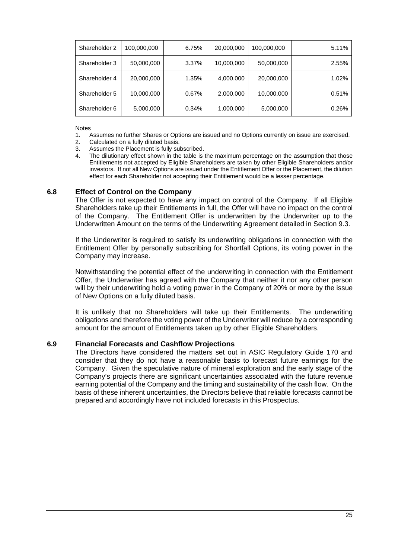| Shareholder 2 | 100,000,000 | 6.75% | 20,000,000 | 100,000,000 | 5.11% |
|---------------|-------------|-------|------------|-------------|-------|
| Shareholder 3 | 50,000,000  | 3.37% | 10,000,000 | 50,000,000  | 2.55% |
| Shareholder 4 | 20,000,000  | 1.35% | 4,000,000  | 20,000,000  | 1.02% |
| Shareholder 5 | 10,000,000  | 0.67% | 2,000,000  | 10,000,000  | 0.51% |
| Shareholder 6 | 5,000,000   | 0.34% | 1,000,000  | 5,000,000   | 0.26% |

Notes

- 1. Assumes no further Shares or Options are issued and no Options currently on issue are exercised.<br>2. Calculated on a fully diluted basis.
- Calculated on a fully diluted basis.
- 3. Assumes the Placement is fully subscribed.
- 4. The dilutionary effect shown in the table is the maximum percentage on the assumption that those Entitlements not accepted by Eligible Shareholders are taken by other Eligible Shareholders and/or investors. If not all New Options are issued under the Entitlement Offer or the Placement, the dilution effect for each Shareholder not accepting their Entitlement would be a lesser percentage.

# <span id="page-24-0"></span>**6.8 Effect of Control on the Company**

The Offer is not expected to have any impact on control of the Company. If all Eligible Shareholders take up their Entitlements in full, the Offer will have no impact on the control of the Company. The Entitlement Offer is underwritten by the Underwriter up to the Underwritten Amount on the terms of the Underwriting Agreement detailed in Section [9.3.](#page-36-1)

If the Underwriter is required to satisfy its underwriting obligations in connection with the Entitlement Offer by personally subscribing for Shortfall Options, its voting power in the Company may increase.

Notwithstanding the potential effect of the underwriting in connection with the Entitlement Offer, the Underwriter has agreed with the Company that neither it nor any other person will by their underwriting hold a voting power in the Company of 20% or more by the issue of New Options on a fully diluted basis.

It is unlikely that no Shareholders will take up their Entitlements. The underwriting obligations and therefore the voting power of the Underwriter will reduce by a corresponding amount for the amount of Entitlements taken up by other Eligible Shareholders.

# **6.9 Financial Forecasts and Cashflow Projections**

The Directors have considered the matters set out in ASIC Regulatory Guide 170 and consider that they do not have a reasonable basis to forecast future earnings for the Company. Given the speculative nature of mineral exploration and the early stage of the Company's projects there are significant uncertainties associated with the future revenue earning potential of the Company and the timing and sustainability of the cash flow. On the basis of these inherent uncertainties, the Directors believe that reliable forecasts cannot be prepared and accordingly have not included forecasts in this Prospectus.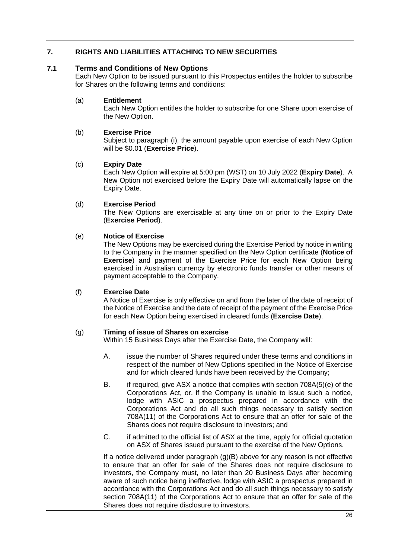# <span id="page-25-2"></span><span id="page-25-0"></span>**7. RIGHTS AND LIABILITIES ATTACHING TO NEW SECURITIES**

# <span id="page-25-3"></span><span id="page-25-1"></span>**7.1 Terms and Conditions of New Options**

Each New Option to be issued pursuant to this Prospectus entitles the holder to subscribe for Shares on the following terms and conditions:

# (a) **Entitlement**

Each New Option entitles the holder to subscribe for one Share upon exercise of the New Option.

# (b) **Exercise Price**

Subject to paragraph (i), the amount payable upon exercise of each New Option will be \$0.01 (**Exercise Price**).

# (c) **Expiry Date**

Each New Option will expire at 5:00 pm (WST) on 10 July 2022 (**Expiry Date**). A New Option not exercised before the Expiry Date will automatically lapse on the Expiry Date.

# (d) **Exercise Period**

The New Options are exercisable at any time on or prior to the Expiry Date (**Exercise Period**).

# (e) **Notice of Exercise**

The New Options may be exercised during the Exercise Period by notice in writing to the Company in the manner specified on the New Option certificate (**Notice of Exercise**) and payment of the Exercise Price for each New Option being exercised in Australian currency by electronic funds transfer or other means of payment acceptable to the Company.

# (f) **Exercise Date**

A Notice of Exercise is only effective on and from the later of the date of receipt of the Notice of Exercise and the date of receipt of the payment of the Exercise Price for each New Option being exercised in cleared funds (**Exercise Date**).

# (g) **Timing of issue of Shares on exercise**

Within 15 Business Days after the Exercise Date, the Company will:

- A. issue the number of Shares required under these terms and conditions in respect of the number of New Options specified in the Notice of Exercise and for which cleared funds have been received by the Company;
- B. if required, give ASX a notice that complies with section 708A(5)(e) of the Corporations Act, or, if the Company is unable to issue such a notice, lodge with ASIC a prospectus prepared in accordance with the Corporations Act and do all such things necessary to satisfy section 708A(11) of the Corporations Act to ensure that an offer for sale of the Shares does not require disclosure to investors; and
- C. if admitted to the official list of ASX at the time, apply for official quotation on ASX of Shares issued pursuant to the exercise of the New Options.

If a notice delivered under paragraph (g)(B) above for any reason is not effective to ensure that an offer for sale of the Shares does not require disclosure to investors, the Company must, no later than 20 Business Days after becoming aware of such notice being ineffective, lodge with ASIC a prospectus prepared in accordance with the Corporations Act and do all such things necessary to satisfy section 708A(11) of the Corporations Act to ensure that an offer for sale of the Shares does not require disclosure to investors.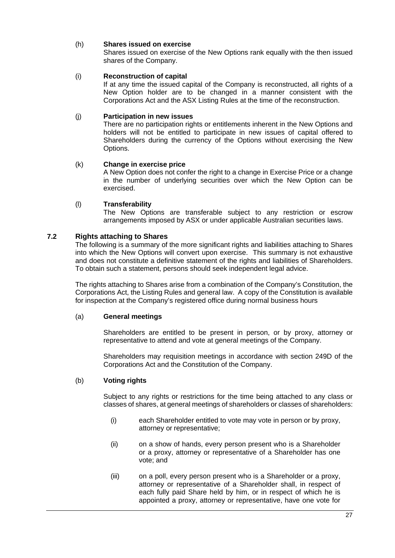# (h) **Shares issued on exercise**

Shares issued on exercise of the New Options rank equally with the then issued shares of the Company.

# (i) **Reconstruction of capital**

If at any time the issued capital of the Company is reconstructed, all rights of a New Option holder are to be changed in a manner consistent with the Corporations Act and the ASX Listing Rules at the time of the reconstruction.

# (j) **Participation in new issues**

There are no participation rights or entitlements inherent in the New Options and holders will not be entitled to participate in new issues of capital offered to Shareholders during the currency of the Options without exercising the New Options.

# (k) **Change in exercise price**

A New Option does not confer the right to a change in Exercise Price or a change in the number of underlying securities over which the New Option can be exercised.

# (l) **Transferability**

The New Options are transferable subject to any restriction or escrow arrangements imposed by ASX or under applicable Australian securities laws.

# **7.2 Rights attaching to Shares**

The following is a summary of the more significant rights and liabilities attaching to Shares into which the New Options will convert upon exercise. This summary is not exhaustive and does not constitute a definitive statement of the rights and liabilities of Shareholders. To obtain such a statement, persons should seek independent legal advice.

The rights attaching to Shares arise from a combination of the Company's Constitution, the Corporations Act, the Listing Rules and general law. A copy of the Constitution is available for inspection at the Company's registered office during normal business hours

# (a) **General meetings**

Shareholders are entitled to be present in person, or by proxy, attorney or representative to attend and vote at general meetings of the Company.

Shareholders may requisition meetings in accordance with section 249D of the Corporations Act and the Constitution of the Company.

# (b) **Voting rights**

Subject to any rights or restrictions for the time being attached to any class or classes of shares, at general meetings of shareholders or classes of shareholders:

- (i) each Shareholder entitled to vote may vote in person or by proxy, attorney or representative;
- (ii) on a show of hands, every person present who is a Shareholder or a proxy, attorney or representative of a Shareholder has one vote; and
- (iii) on a poll, every person present who is a Shareholder or a proxy, attorney or representative of a Shareholder shall, in respect of each fully paid Share held by him, or in respect of which he is appointed a proxy, attorney or representative, have one vote for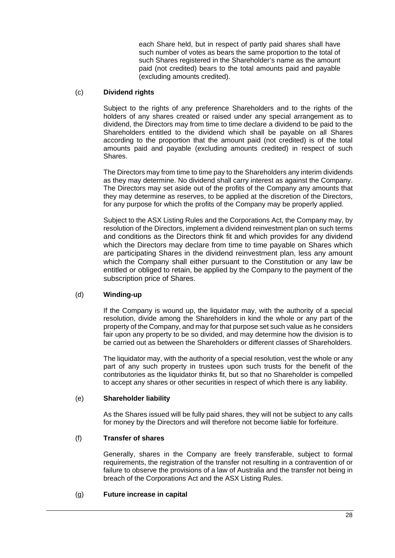each Share held, but in respect of partly paid shares shall have such number of votes as bears the same proportion to the total of such Shares registered in the Shareholder's name as the amount paid (not credited) bears to the total amounts paid and payable (excluding amounts credited).

# (c) **Dividend rights**

Subject to the rights of any preference Shareholders and to the rights of the holders of any shares created or raised under any special arrangement as to dividend, the Directors may from time to time declare a dividend to be paid to the Shareholders entitled to the dividend which shall be payable on all Shares according to the proportion that the amount paid (not credited) is of the total amounts paid and payable (excluding amounts credited) in respect of such Shares.

The Directors may from time to time pay to the Shareholders any interim dividends as they may determine. No dividend shall carry interest as against the Company. The Directors may set aside out of the profits of the Company any amounts that they may determine as reserves, to be applied at the discretion of the Directors, for any purpose for which the profits of the Company may be properly applied.

Subject to the ASX Listing Rules and the Corporations Act, the Company may, by resolution of the Directors, implement a dividend reinvestment plan on such terms and conditions as the Directors think fit and which provides for any dividend which the Directors may declare from time to time payable on Shares which are participating Shares in the dividend reinvestment plan, less any amount which the Company shall either pursuant to the Constitution or any law be entitled or obliged to retain, be applied by the Company to the payment of the subscription price of Shares.

# (d) **Winding-up**

If the Company is wound up, the liquidator may, with the authority of a special resolution, divide among the Shareholders in kind the whole or any part of the property of the Company, and may for that purpose set such value as he considers fair upon any property to be so divided, and may determine how the division is to be carried out as between the Shareholders or different classes of Shareholders.

The liquidator may, with the authority of a special resolution, vest the whole or any part of any such property in trustees upon such trusts for the benefit of the contributories as the liquidator thinks fit, but so that no Shareholder is compelled to accept any shares or other securities in respect of which there is any liability.

# (e) **Shareholder liability**

As the Shares issued will be fully paid shares, they will not be subject to any calls for money by the Directors and will therefore not become liable for forfeiture.

# (f) **Transfer of shares**

Generally, shares in the Company are freely transferable, subject to formal requirements, the registration of the transfer not resulting in a contravention of or failure to observe the provisions of a law of Australia and the transfer not being in breach of the Corporations Act and the ASX Listing Rules.

# (g) **Future increase in capital**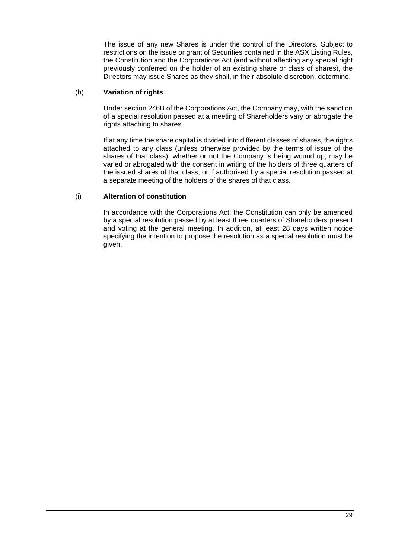The issue of any new Shares is under the control of the Directors. Subject to restrictions on the issue or grant of Securities contained in the ASX Listing Rules, the Constitution and the Corporations Act (and without affecting any special right previously conferred on the holder of an existing share or class of shares), the Directors may issue Shares as they shall, in their absolute discretion, determine.

# (h) **Variation of rights**

Under section 246B of the Corporations Act, the Company may, with the sanction of a special resolution passed at a meeting of Shareholders vary or abrogate the rights attaching to shares.

If at any time the share capital is divided into different classes of shares, the rights attached to any class (unless otherwise provided by the terms of issue of the shares of that class), whether or not the Company is being wound up, may be varied or abrogated with the consent in writing of the holders of three quarters of the issued shares of that class, or if authorised by a special resolution passed at a separate meeting of the holders of the shares of that class.

# (i) **Alteration of constitution**

In accordance with the Corporations Act, the Constitution can only be amended by a special resolution passed by at least three quarters of Shareholders present and voting at the general meeting. In addition, at least 28 days written notice specifying the intention to propose the resolution as a special resolution must be given.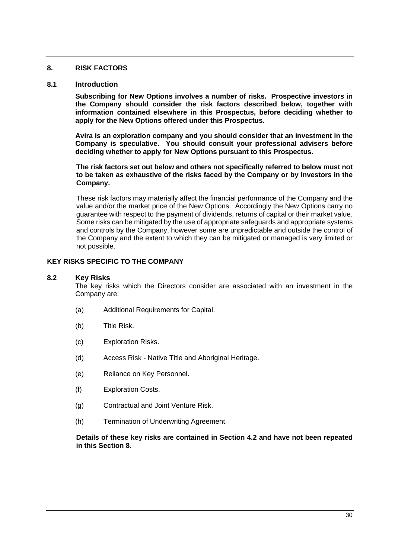# <span id="page-29-1"></span><span id="page-29-0"></span>**8. RISK FACTORS**

# **8.1 Introduction**

**Subscribing for New Options involves a number of risks. Prospective investors in the Company should consider the risk factors described below, together with information contained elsewhere in this Prospectus, before deciding whether to apply for the New Options offered under this Prospectus.** 

**Avira is an exploration company and you should consider that an investment in the Company is speculative. You should consult your professional advisers before deciding whether to apply for New Options pursuant to this Prospectus.**

**The risk factors set out below and others not specifically referred to below must not to be taken as exhaustive of the risks faced by the Company or by investors in the Company.**

These risk factors may materially affect the financial performance of the Company and the value and/or the market price of the New Options. Accordingly the New Options carry no guarantee with respect to the payment of dividends, returns of capital or their market value. Some risks can be mitigated by the use of appropriate safeguards and appropriate systems and controls by the Company, however some are unpredictable and outside the control of the Company and the extent to which they can be mitigated or managed is very limited or not possible.

# **KEY RISKS SPECIFIC TO THE COMPANY**

# **8.2 Key Risks**

The key risks which the Directors consider are associated with an investment in the Company are:

- (a) Additional Requirements for Capital.
- (b) Title Risk.
- (c) Exploration Risks.
- (d) Access Risk Native Title and Aboriginal Heritage.
- (e) Reliance on Key Personnel.
- (f) Exploration Costs.
- (g) Contractual and Joint Venture Risk.
- (h) Termination of Underwriting Agreement.

**Details of these key risks are contained in Section [4.2](#page-10-1) and have not been repeated in this Section [8.](#page-29-1)**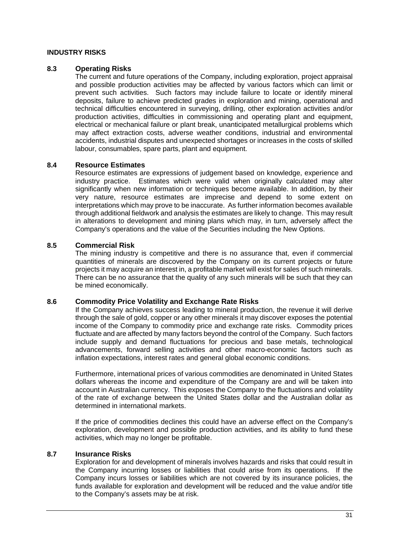# **INDUSTRY RISKS**

# **8.3 Operating Risks**

The current and future operations of the Company, including exploration, project appraisal and possible production activities may be affected by various factors which can limit or prevent such activities. Such factors may include failure to locate or identify mineral deposits, failure to achieve predicted grades in exploration and mining, operational and technical difficulties encountered in surveying, drilling, other exploration activities and/or production activities, difficulties in commissioning and operating plant and equipment, electrical or mechanical failure or plant break, unanticipated metallurgical problems which may affect extraction costs, adverse weather conditions, industrial and environmental accidents, industrial disputes and unexpected shortages or increases in the costs of skilled labour, consumables, spare parts, plant and equipment.

# **8.4 Resource Estimates**

Resource estimates are expressions of judgement based on knowledge, experience and industry practice. Estimates which were valid when originally calculated may alter significantly when new information or techniques become available. In addition, by their very nature, resource estimates are imprecise and depend to some extent on interpretations which may prove to be inaccurate. As further information becomes available through additional fieldwork and analysis the estimates are likely to change. This may result in alterations to development and mining plans which may, in turn, adversely affect the Company's operations and the value of the Securities including the New Options.

# **8.5 Commercial Risk**

The mining industry is competitive and there is no assurance that, even if commercial quantities of minerals are discovered by the Company on its current projects or future projects it may acquire an interest in, a profitable market will exist for sales of such minerals. There can be no assurance that the quality of any such minerals will be such that they can be mined economically.

# **8.6 Commodity Price Volatility and Exchange Rate Risks**

If the Company achieves success leading to mineral production, the revenue it will derive through the sale of gold, copper or any other minerals it may discover exposes the potential income of the Company to commodity price and exchange rate risks. Commodity prices fluctuate and are affected by many factors beyond the control of the Company. Such factors include supply and demand fluctuations for precious and base metals, technological advancements, forward selling activities and other macro-economic factors such as inflation expectations, interest rates and general global economic conditions.

Furthermore, international prices of various commodities are denominated in United States dollars whereas the income and expenditure of the Company are and will be taken into account in Australian currency. This exposes the Company to the fluctuations and volatility of the rate of exchange between the United States dollar and the Australian dollar as determined in international markets.

If the price of commodities declines this could have an adverse effect on the Company's exploration, development and possible production activities, and its ability to fund these activities, which may no longer be profitable.

# **8.7 Insurance Risks**

Exploration for and development of minerals involves hazards and risks that could result in the Company incurring losses or liabilities that could arise from its operations. If the Company incurs losses or liabilities which are not covered by its insurance policies, the funds available for exploration and development will be reduced and the value and/or title to the Company's assets may be at risk.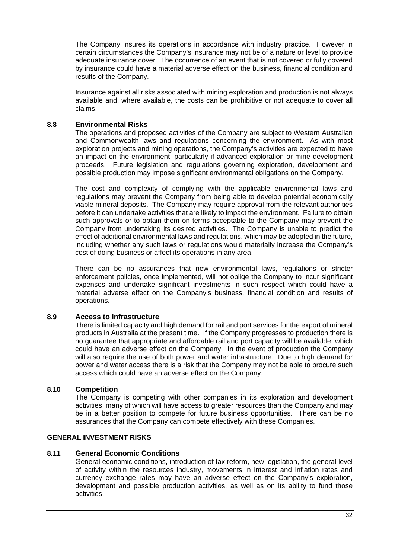The Company insures its operations in accordance with industry practice. However in certain circumstances the Company's insurance may not be of a nature or level to provide adequate insurance cover. The occurrence of an event that is not covered or fully covered by insurance could have a material adverse effect on the business, financial condition and results of the Company.

Insurance against all risks associated with mining exploration and production is not always available and, where available, the costs can be prohibitive or not adequate to cover all claims.

# **8.8 Environmental Risks**

The operations and proposed activities of the Company are subject to Western Australian and Commonwealth laws and regulations concerning the environment. As with most exploration projects and mining operations, the Company's activities are expected to have an impact on the environment, particularly if advanced exploration or mine development proceeds. Future legislation and regulations governing exploration, development and possible production may impose significant environmental obligations on the Company.

The cost and complexity of complying with the applicable environmental laws and regulations may prevent the Company from being able to develop potential economically viable mineral deposits. The Company may require approval from the relevant authorities before it can undertake activities that are likely to impact the environment. Failure to obtain such approvals or to obtain them on terms acceptable to the Company may prevent the Company from undertaking its desired activities. The Company is unable to predict the effect of additional environmental laws and regulations, which may be adopted in the future, including whether any such laws or regulations would materially increase the Company's cost of doing business or affect its operations in any area.

There can be no assurances that new environmental laws, regulations or stricter enforcement policies, once implemented, will not oblige the Company to incur significant expenses and undertake significant investments in such respect which could have a material adverse effect on the Company's business, financial condition and results of operations.

# **8.9 Access to Infrastructure**

There is limited capacity and high demand for rail and port services for the export of mineral products in Australia at the present time. If the Company progresses to production there is no guarantee that appropriate and affordable rail and port capacity will be available, which could have an adverse effect on the Company. In the event of production the Company will also require the use of both power and water infrastructure. Due to high demand for power and water access there is a risk that the Company may not be able to procure such access which could have an adverse effect on the Company.

# **8.10 Competition**

The Company is competing with other companies in its exploration and development activities, many of which will have access to greater resources than the Company and may be in a better position to compete for future business opportunities. There can be no assurances that the Company can compete effectively with these Companies.

# **GENERAL INVESTMENT RISKS**

# **8.11 General Economic Conditions**

General economic conditions, introduction of tax reform, new legislation, the general level of activity within the resources industry, movements in interest and inflation rates and currency exchange rates may have an adverse effect on the Company's exploration, development and possible production activities, as well as on its ability to fund those activities.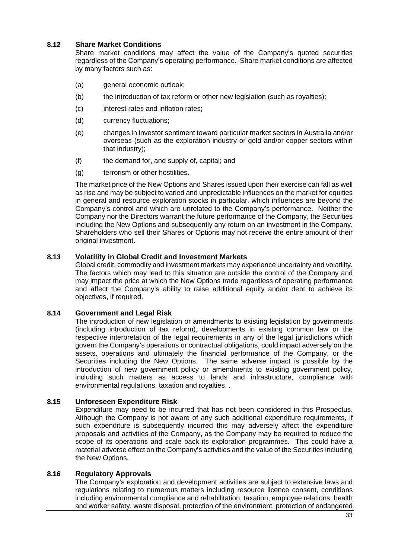# **8.12 Share Market Conditions**

Share market conditions may affect the value of the Company's quoted securities regardless of the Company's operating performance. Share market conditions are affected by many factors such as:

- (a) general economic outlook;
- (b) the introduction of tax reform or other new legislation (such as royalties);
- (c) interest rates and inflation rates;
- (d) currency fluctuations;
- (e) changes in investor sentiment toward particular market sectors in Australia and/or overseas (such as the exploration industry or gold and/or copper sectors within that industry);
- (f) the demand for, and supply of, capital; and
- (g) terrorism or other hostilities.

The market price of the New Options and Shares issued upon their exercise can fall as well as rise and may be subject to varied and unpredictable influences on the market for equities in general and resource exploration stocks in particular, which influences are beyond the Company's control and which are unrelated to the Company's performance. Neither the Company nor the Directors warrant the future performance of the Company, the Securities including the New Options and subsequently any return on an investment in the Company. Shareholders who sell their Shares or Options may not receive the entire amount of their original investment.

# **8.13 Volatility in Global Credit and Investment Markets**

Global credit, commodity and investment markets may experience uncertainty and volatility. The factors which may lead to this situation are outside the control of the Company and may impact the price at which the New Options trade regardless of operating performance and affect the Company's ability to raise additional equity and/or debt to achieve its objectives, if required.

# **8.14 Government and Legal Risk**

The introduction of new legislation or amendments to existing legislation by governments (including introduction of tax reform), developments in existing common law or the respective interpretation of the legal requirements in any of the legal jurisdictions which govern the Company's operations or contractual obligations, could impact adversely on the assets, operations and ultimately the financial performance of the Company, or the Securities including the New Options. The same adverse impact is possible by the introduction of new government policy or amendments to existing government policy, including such matters as access to lands and infrastructure, compliance with environmental regulations, taxation and royalties. .

# **8.15 Unforeseen Expenditure Risk**

Expenditure may need to be incurred that has not been considered in this Prospectus. Although the Company is not aware of any such additional expenditure requirements, if such expenditure is subsequently incurred this may adversely affect the expenditure proposals and activities of the Company, as the Company may be required to reduce the scope of its operations and scale back its exploration programmes. This could have a material adverse effect on the Company's activities and the value of the Securities including the New Options.

# **8.16 Regulatory Approvals**

The Company's exploration and development activities are subject to extensive laws and regulations relating to numerous matters including resource licence consent, conditions including environmental compliance and rehabilitation, taxation, employee relations, health and worker safety, waste disposal, protection of the environment, protection of endangered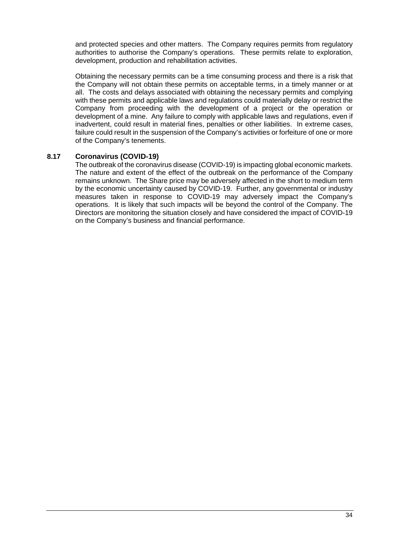and protected species and other matters. The Company requires permits from regulatory authorities to authorise the Company's operations. These permits relate to exploration, development, production and rehabilitation activities.

Obtaining the necessary permits can be a time consuming process and there is a risk that the Company will not obtain these permits on acceptable terms, in a timely manner or at all. The costs and delays associated with obtaining the necessary permits and complying with these permits and applicable laws and regulations could materially delay or restrict the Company from proceeding with the development of a project or the operation or development of a mine. Any failure to comply with applicable laws and regulations, even if inadvertent, could result in material fines, penalties or other liabilities. In extreme cases, failure could result in the suspension of the Company's activities or forfeiture of one or more of the Company's tenements.

# **8.17 Coronavirus (COVID-19)**

The outbreak of the coronavirus disease (COVID-19) is impacting global economic markets. The nature and extent of the effect of the outbreak on the performance of the Company remains unknown. The Share price may be adversely affected in the short to medium term by the economic uncertainty caused by COVID-19. Further, any governmental or industry measures taken in response to COVID-19 may adversely impact the Company's operations. It is likely that such impacts will be beyond the control of the Company. The Directors are monitoring the situation closely and have considered the impact of COVID-19 on the Company's business and financial performance.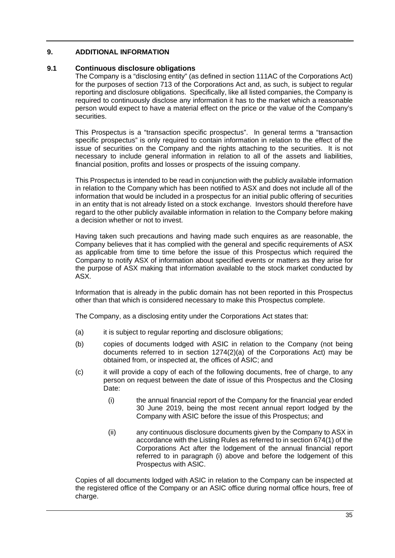# <span id="page-34-0"></span>**9. ADDITIONAL INFORMATION**

# **9.1 Continuous disclosure obligations**

The Company is a "disclosing entity" (as defined in section 111AC of the Corporations Act) for the purposes of section 713 of the Corporations Act and, as such, is subject to regular reporting and disclosure obligations. Specifically, like all listed companies, the Company is required to continuously disclose any information it has to the market which a reasonable person would expect to have a material effect on the price or the value of the Company's securities.

This Prospectus is a "transaction specific prospectus". In general terms a "transaction specific prospectus" is only required to contain information in relation to the effect of the issue of securities on the Company and the rights attaching to the securities. It is not necessary to include general information in relation to all of the assets and liabilities, financial position, profits and losses or prospects of the issuing company.

This Prospectus is intended to be read in conjunction with the publicly available information in relation to the Company which has been notified to ASX and does not include all of the information that would be included in a prospectus for an initial public offering of securities in an entity that is not already listed on a stock exchange. Investors should therefore have regard to the other publicly available information in relation to the Company before making a decision whether or not to invest.

Having taken such precautions and having made such enquires as are reasonable, the Company believes that it has complied with the general and specific requirements of ASX as applicable from time to time before the issue of this Prospectus which required the Company to notify ASX of information about specified events or matters as they arise for the purpose of ASX making that information available to the stock market conducted by ASX.

Information that is already in the public domain has not been reported in this Prospectus other than that which is considered necessary to make this Prospectus complete.

The Company, as a disclosing entity under the Corporations Act states that:

- (a) it is subject to regular reporting and disclosure obligations;
- (b) copies of documents lodged with ASIC in relation to the Company (not being documents referred to in section 1274(2)(a) of the Corporations Act) may be obtained from, or inspected at, the offices of ASIC; and
- (c) it will provide a copy of each of the following documents, free of charge, to any person on request between the date of issue of this Prospectus and the Closing Date:
	- (i) the annual financial report of the Company for the financial year ended 30 June 2019, being the most recent annual report lodged by the Company with ASIC before the issue of this Prospectus; and
	- (ii) any continuous disclosure documents given by the Company to ASX in accordance with the Listing Rules as referred to in section 674(1) of the Corporations Act after the lodgement of the annual financial report referred to in paragraph (i) above and before the lodgement of this Prospectus with ASIC.

Copies of all documents lodged with ASIC in relation to the Company can be inspected at the registered office of the Company or an ASIC office during normal office hours, free of charge.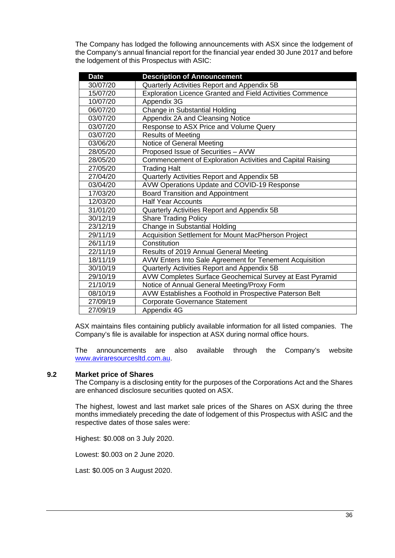The Company has lodged the following announcements with ASX since the lodgement of the Company's annual financial report for the financial year ended 30 June 2017 and before the lodgement of this Prospectus with ASIC:

| <b>Date</b> | <b>Description of Announcement</b>                         |
|-------------|------------------------------------------------------------|
| 30/07/20    | Quarterly Activities Report and Appendix 5B                |
| 15/07/20    | Exploration Licence Granted and Field Activities Commence  |
| 10/07/20    | Appendix 3G                                                |
| 06/07/20    | Change in Substantial Holding                              |
| 03/07/20    | Appendix 2A and Cleansing Notice                           |
| 03/07/20    | Response to ASX Price and Volume Query                     |
| 03/07/20    | <b>Results of Meeting</b>                                  |
| 03/06/20    | Notice of General Meeting                                  |
| 28/05/20    | Proposed Issue of Securities - AVW                         |
| 28/05/20    | Commencement of Exploration Activities and Capital Raising |
| 27/05/20    | <b>Trading Halt</b>                                        |
| 27/04/20    | Quarterly Activities Report and Appendix 5B                |
| 03/04/20    | AVW Operations Update and COVID-19 Response                |
| 17/03/20    | <b>Board Transition and Appointment</b>                    |
| 12/03/20    | <b>Half Year Accounts</b>                                  |
| 31/01/20    | Quarterly Activities Report and Appendix 5B                |
| 30/12/19    | <b>Share Trading Policy</b>                                |
| 23/12/19    | Change in Substantial Holding                              |
| 29/11/19    | Acquisition Settlement for Mount MacPherson Project        |
| 26/11/19    | Constitution                                               |
| 22/11/19    | Results of 2019 Annual General Meeting                     |
| 18/11/19    | AVW Enters Into Sale Agreement for Tenement Acquisition    |
| 30/10/19    | Quarterly Activities Report and Appendix 5B                |
| 29/10/19    | AVW Completes Surface Geochemical Survey at East Pyramid   |
| 21/10/19    | Notice of Annual General Meeting/Proxy Form                |
| 08/10/19    | AVW Establishes a Foothold in Prospective Paterson Belt    |
| 27/09/19    | <b>Corporate Governance Statement</b>                      |
| 27/09/19    | Appendix 4G                                                |

ASX maintains files containing publicly available information for all listed companies. The Company's file is available for inspection at ASX during normal office hours.

The announcements are also available through the Company's website [www.aviraresourcesltd.com.au.](http://www.aviraresourcesltd.com.au/)

# **9.2 Market price of Shares**

The Company is a disclosing entity for the purposes of the Corporations Act and the Shares are enhanced disclosure securities quoted on ASX.

The highest, lowest and last market sale prices of the Shares on ASX during the three months immediately preceding the date of lodgement of this Prospectus with ASIC and the respective dates of those sales were:

Highest: \$0.008 on 3 July 2020.

Lowest: \$0.003 on 2 June 2020.

Last: \$0.005 on 3 August 2020.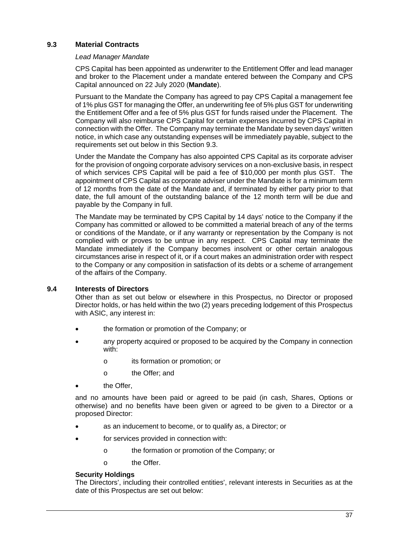# <span id="page-36-1"></span><span id="page-36-0"></span>**9.3 Material Contracts**

# *Lead Manager Mandate*

CPS Capital has been appointed as underwriter to the Entitlement Offer and lead manager and broker to the Placement under a mandate entered between the Company and CPS Capital announced on 22 July 2020 (**Mandate**).

Pursuant to the Mandate the Company has agreed to pay CPS Capital a management fee of 1% plus GST for managing the Offer, an underwriting fee of 5% plus GST for underwriting the Entitlement Offer and a fee of 5% plus GST for funds raised under the Placement. The Company will also reimburse CPS Capital for certain expenses incurred by CPS Capital in connection with the Offer. The Company may terminate the Mandate by seven days' written notice, in which case any outstanding expenses will be immediately payable, subject to the requirements set out below in this Section [9.3.](#page-36-1)

Under the Mandate the Company has also appointed CPS Capital as its corporate adviser for the provision of ongoing corporate advisory services on a non-exclusive basis, in respect of which services CPS Capital will be paid a fee of \$10,000 per month plus GST. The appointment of CPS Capital as corporate adviser under the Mandate is for a minimum term of 12 months from the date of the Mandate and, if terminated by either party prior to that date, the full amount of the outstanding balance of the 12 month term will be due and payable by the Company in full.

The Mandate may be terminated by CPS Capital by 14 days' notice to the Company if the Company has committed or allowed to be committed a material breach of any of the terms or conditions of the Mandate, or if any warranty or representation by the Company is not complied with or proves to be untrue in any respect. CPS Capital may terminate the Mandate immediately if the Company becomes insolvent or other certain analogous circumstances arise in respect of it, or if a court makes an administration order with respect to the Company or any composition in satisfaction of its debts or a scheme of arrangement of the affairs of the Company.

# **9.4 Interests of Directors**

Other than as set out below or elsewhere in this Prospectus, no Director or proposed Director holds, or has held within the two (2) years preceding lodgement of this Prospectus with ASIC, any interest in:

- the formation or promotion of the Company; or
- any property acquired or proposed to be acquired by the Company in connection with:
	- o its formation or promotion; or
	- o the Offer; and
- the Offer.

and no amounts have been paid or agreed to be paid (in cash, Shares, Options or otherwise) and no benefits have been given or agreed to be given to a Director or a proposed Director:

- as an inducement to become, or to qualify as, a Director; or
- for services provided in connection with:
	- o the formation or promotion of the Company; or
	- o the Offer.

# **Security Holdings**

The Directors', including their controlled entities', relevant interests in Securities as at the date of this Prospectus are set out below: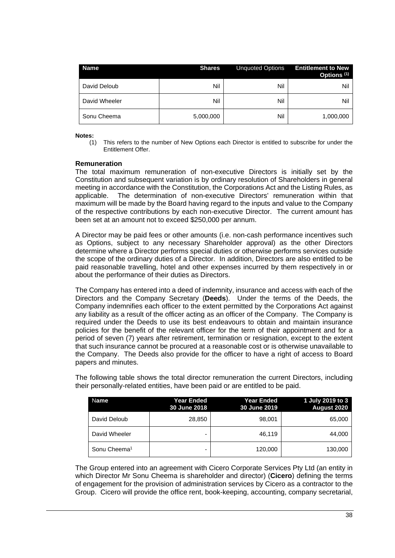| <b>Name</b>   | <b>Shares</b> | <b>Unquoted Options</b> | <b>Entitlement to New</b><br>Options <sup>(1)</sup> |
|---------------|---------------|-------------------------|-----------------------------------------------------|
| David Deloub  | Nil           | Nil                     | Nil                                                 |
| David Wheeler | Nil           | Nil                     | Nil                                                 |
| Sonu Cheema   | 5,000,000     | Nil                     | 1,000,000                                           |

**Notes:**

(1) This refers to the number of New Options each Director is entitled to subscribe for under the Entitlement Offer.

# **Remuneration**

The total maximum remuneration of non-executive Directors is initially set by the Constitution and subsequent variation is by ordinary resolution of Shareholders in general meeting in accordance with the Constitution, the Corporations Act and the Listing Rules, as applicable. The determination of non-executive Directors' remuneration within that maximum will be made by the Board having regard to the inputs and value to the Company of the respective contributions by each non-executive Director. The current amount has been set at an amount not to exceed \$250,000 per annum.

A Director may be paid fees or other amounts (i.e. non-cash performance incentives such as Options, subject to any necessary Shareholder approval) as the other Directors determine where a Director performs special duties or otherwise performs services outside the scope of the ordinary duties of a Director. In addition, Directors are also entitled to be paid reasonable travelling, hotel and other expenses incurred by them respectively in or about the performance of their duties as Directors.

The Company has entered into a deed of indemnity, insurance and access with each of the Directors and the Company Secretary (**Deeds**). Under the terms of the Deeds, the Company indemnifies each officer to the extent permitted by the Corporations Act against any liability as a result of the officer acting as an officer of the Company. The Company is required under the Deeds to use its best endeavours to obtain and maintain insurance policies for the benefit of the relevant officer for the term of their appointment and for a period of seven (7) years after retirement, termination or resignation, except to the extent that such insurance cannot be procured at a reasonable cost or is otherwise unavailable to the Company. The Deeds also provide for the officer to have a right of access to Board papers and minutes.

The following table shows the total director remuneration the current Directors, including their personally-related entities, have been paid or are entitled to be paid.

| Name                     | <b>Year Ended</b><br>30 June 2018 | <b>Year Ended</b><br>30 June 2019 | 1 July 2019 to 3<br><b>August 2020</b> |
|--------------------------|-----------------------------------|-----------------------------------|----------------------------------------|
| David Deloub             | 28,850                            | 98,001                            | 65,000                                 |
| David Wheeler            |                                   | 46,119                            | 44,000                                 |
| Sonu Cheema <sup>1</sup> | -                                 | 120,000                           | 130,000                                |

The Group entered into an agreement with Cicero Corporate Services Pty Ltd (an entity in which Director Mr Sonu Cheema is shareholder and director) (**Cicero**) defining the terms of engagement for the provision of administration services by Cicero as a contractor to the Group. Cicero will provide the office rent, book-keeping, accounting, company secretarial,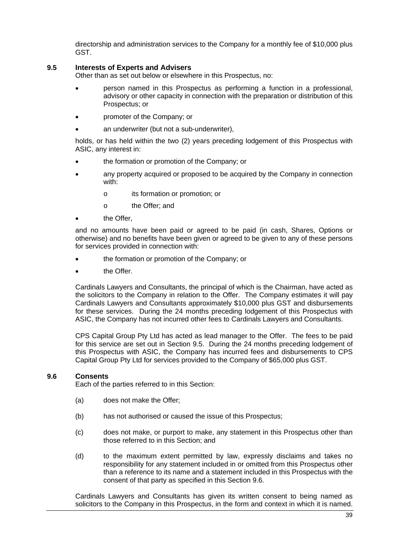directorship and administration services to the Company for a monthly fee of \$10,000 plus GST.

# <span id="page-38-0"></span>**9.5 Interests of Experts and Advisers**

Other than as set out below or elsewhere in this Prospectus, no:

- person named in this Prospectus as performing a function in a professional, advisory or other capacity in connection with the preparation or distribution of this Prospectus; or
- promoter of the Company; or
- an underwriter (but not a sub-underwriter),

holds, or has held within the two (2) years preceding lodgement of this Prospectus with ASIC, any interest in:

- the formation or promotion of the Company; or
- any property acquired or proposed to be acquired by the Company in connection with:
	- o its formation or promotion; or
	- o the Offer; and
- the  $O$ ffer

and no amounts have been paid or agreed to be paid (in cash, Shares, Options or otherwise) and no benefits have been given or agreed to be given to any of these persons for services provided in connection with:

- the formation or promotion of the Company; or
- the Offer.

Cardinals Lawyers and Consultants, the principal of which is the Chairman, have acted as the solicitors to the Company in relation to the Offer. The Company estimates it will pay Cardinals Lawyers and Consultants approximately \$10,000 plus GST and disbursements for these services. During the 24 months preceding lodgement of this Prospectus with ASIC, the Company has not incurred other fees to Cardinals Lawyers and Consultants.

CPS Capital Group Pty Ltd has acted as lead manager to the Offer. The fees to be paid for this service are set out in Section [9.5.](#page-38-0) During the 24 months preceding lodgement of this Prospectus with ASIC, the Company has incurred fees and disbursements to CPS Capital Group Pty Ltd for services provided to the Company of \$65,000 plus GST.

# <span id="page-38-1"></span>**9.6 Consents**

Each of the parties referred to in this Section:

- (a) does not make the Offer;
- (b) has not authorised or caused the issue of this Prospectus;
- (c) does not make, or purport to make, any statement in this Prospectus other than those referred to in this Section; and
- (d) to the maximum extent permitted by law, expressly disclaims and takes no responsibility for any statement included in or omitted from this Prospectus other than a reference to its name and a statement included in this Prospectus with the consent of that party as specified in this Section [9.6.](#page-38-1)

Cardinals Lawyers and Consultants has given its written consent to being named as solicitors to the Company in this Prospectus, in the form and context in which it is named.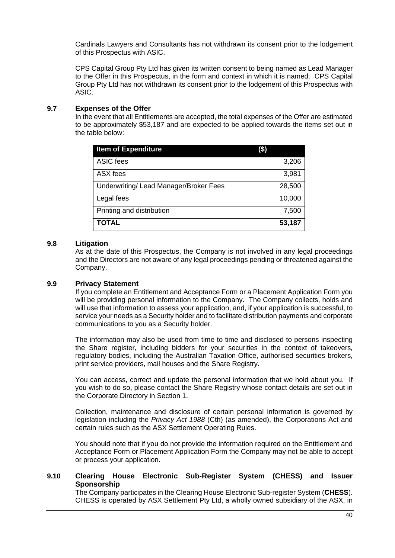Cardinals Lawyers and Consultants has not withdrawn its consent prior to the lodgement of this Prospectus with ASIC.

CPS Capital Group Pty Ltd has given its written consent to being named as Lead Manager to the Offer in this Prospectus, in the form and context in which it is named. CPS Capital Group Pty Ltd has not withdrawn its consent prior to the lodgement of this Prospectus with ASIC.

# <span id="page-39-0"></span>**9.7 Expenses of the Offer**

In the event that all Entitlements are accepted, the total expenses of the Offer are estimated to be approximately \$53,187 and are expected to be applied towards the items set out in the table below:

| <b>Item of Expenditure</b>             | (\$)   |
|----------------------------------------|--------|
| ASIC fees                              | 3,206  |
| ASX fees                               | 3,981  |
| Underwriting/ Lead Manager/Broker Fees | 28,500 |
| Legal fees                             | 10,000 |
| Printing and distribution              | 7,500  |
| <b>TOTAL</b>                           | 53,187 |

# **9.8 Litigation**

As at the date of this Prospectus, the Company is not involved in any legal proceedings and the Directors are not aware of any legal proceedings pending or threatened against the Company.

# **9.9 Privacy Statement**

If you complete an Entitlement and Acceptance Form or a Placement Application Form you will be providing personal information to the Company. The Company collects, holds and will use that information to assess your application, and, if your application is successful, to service your needs as a Security holder and to facilitate distribution payments and corporate communications to you as a Security holder.

The information may also be used from time to time and disclosed to persons inspecting the Share register, including bidders for your securities in the context of takeovers, regulatory bodies, including the Australian Taxation Office, authorised securities brokers, print service providers, mail houses and the Share Registry.

You can access, correct and update the personal information that we hold about you. If you wish to do so, please contact the Share Registry whose contact details are set out in the Corporate Directory in Section 1.

Collection, maintenance and disclosure of certain personal information is governed by legislation including the *Privacy Act 1988* (Cth) (as amended), the Corporations Act and certain rules such as the ASX Settlement Operating Rules.

You should note that if you do not provide the information required on the Entitlement and Acceptance Form or Placement Application Form the Company may not be able to accept or process your application.

# **9.10 Clearing House Electronic Sub-Register System (CHESS) and Issuer Sponsorship**

The Company participates in the Clearing House Electronic Sub-register System (**CHESS**). CHESS is operated by ASX Settlement Pty Ltd, a wholly owned subsidiary of the ASX, in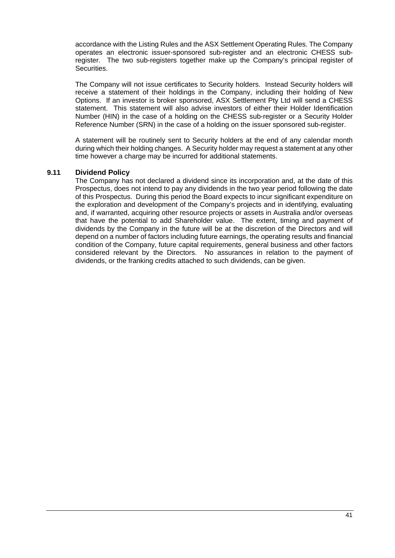accordance with the Listing Rules and the ASX Settlement Operating Rules. The Company operates an electronic issuer-sponsored sub-register and an electronic CHESS subregister. The two sub-registers together make up the Company's principal register of Securities.

The Company will not issue certificates to Security holders. Instead Security holders will receive a statement of their holdings in the Company, including their holding of New Options. If an investor is broker sponsored, ASX Settlement Pty Ltd will send a CHESS statement. This statement will also advise investors of either their Holder Identification Number (HIN) in the case of a holding on the CHESS sub-register or a Security Holder Reference Number (SRN) in the case of a holding on the issuer sponsored sub-register.

A statement will be routinely sent to Security holders at the end of any calendar month during which their holding changes. A Security holder may request a statement at any other time however a charge may be incurred for additional statements.

# **9.11 Dividend Policy**

The Company has not declared a dividend since its incorporation and, at the date of this Prospectus, does not intend to pay any dividends in the two year period following the date of this Prospectus. During this period the Board expects to incur significant expenditure on the exploration and development of the Company's projects and in identifying, evaluating and, if warranted, acquiring other resource projects or assets in Australia and/or overseas that have the potential to add Shareholder value. The extent, timing and payment of dividends by the Company in the future will be at the discretion of the Directors and will depend on a number of factors including future earnings, the operating results and financial condition of the Company, future capital requirements, general business and other factors considered relevant by the Directors. No assurances in relation to the payment of dividends, or the franking credits attached to such dividends, can be given.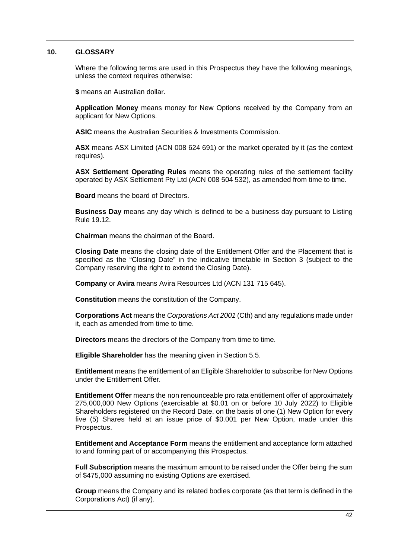# <span id="page-41-1"></span><span id="page-41-0"></span>**10. GLOSSARY**

Where the following terms are used in this Prospectus they have the following meanings, unless the context requires otherwise:

**\$** means an Australian dollar.

**Application Money** means money for New Options received by the Company from an applicant for New Options.

**ASIC** means the Australian Securities & Investments Commission.

**ASX** means ASX Limited (ACN 008 624 691) or the market operated by it (as the context requires).

**ASX Settlement Operating Rules** means the operating rules of the settlement facility operated by ASX Settlement Pty Ltd (ACN 008 504 532), as amended from time to time.

**Board** means the board of Directors.

**Business Day** means any day which is defined to be a business day pursuant to Listing Rule 19.12.

**Chairman** means the chairman of the Board.

**Closing Date** means the closing date of the Entitlement Offer and the Placement that is specified as the "Closing Date" in the indicative timetable in Section [3](#page-8-1) (subject to the Company reserving the right to extend the Closing Date).

**Company** or **Avira** means Avira Resources Ltd (ACN 131 715 645).

**Constitution** means the constitution of the Company.

**Corporations Act** means the *Corporations Act 2001* (Cth) and any regulations made under it, each as amended from time to time.

**Directors** means the directors of the Company from time to time.

**Eligible Shareholder** has the meaning given in Section [5.5.](#page-16-1)

**Entitlement** means the entitlement of an Eligible Shareholder to subscribe for New Options under the Entitlement Offer.

**Entitlement Offer** means the non renounceable pro rata entitlement offer of approximately 275,000,000 New Options (exercisable at \$0.01 on or before 10 July 2022) to Eligible Shareholders registered on the Record Date, on the basis of one (1) New Option for every five (5) Shares held at an issue price of \$0.001 per New Option, made under this Prospectus.

**Entitlement and Acceptance Form** means the entitlement and acceptance form attached to and forming part of or accompanying this Prospectus.

**Full Subscription** means the maximum amount to be raised under the Offer being the sum of \$475,000 assuming no existing Options are exercised.

**Group** means the Company and its related bodies corporate (as that term is defined in the Corporations Act) (if any).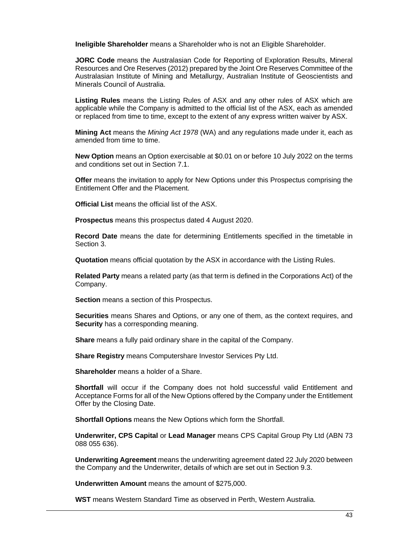**Ineligible Shareholder** means a Shareholder who is not an Eligible Shareholder.

**JORC Code** means the Australasian Code for Reporting of Exploration Results, Mineral Resources and Ore Reserves (2012) prepared by the Joint Ore Reserves Committee of the Australasian Institute of Mining and Metallurgy, Australian Institute of Geoscientists and Minerals Council of Australia.

**Listing Rules** means the Listing Rules of ASX and any other rules of ASX which are applicable while the Company is admitted to the official list of the ASX, each as amended or replaced from time to time, except to the extent of any express written waiver by ASX.

**Mining Act** means the *Mining Act 1978* (WA) and any regulations made under it, each as amended from time to time.

**New Option** means an Option exercisable at \$0.01 on or before 10 July 2022 on the terms and conditions set out in Section [7.1.](#page-25-3)

**Offer** means the invitation to apply for New Options under this Prospectus comprising the Entitlement Offer and the Placement.

**Official List** means the official list of the ASX.

**Prospectus** means this prospectus dated 4 August 2020.

**Record Date** means the date for determining Entitlements specified in the timetable in Section [3.](#page-8-1)

**Quotation** means official quotation by the ASX in accordance with the Listing Rules.

**Related Party** means a related party (as that term is defined in the Corporations Act) of the Company.

**Section** means a section of this Prospectus.

**Securities** means Shares and Options, or any one of them, as the context requires, and **Security** has a corresponding meaning.

**Share** means a fully paid ordinary share in the capital of the Company.

**Share Registry** means Computershare Investor Services Pty Ltd.

**Shareholder** means a holder of a Share.

**Shortfall** will occur if the Company does not hold successful valid Entitlement and Acceptance Forms for all of the New Options offered by the Company under the Entitlement Offer by the Closing Date.

**Shortfall Options** means the New Options which form the Shortfall.

**Underwriter, CPS Capital** or **Lead Manager** means CPS Capital Group Pty Ltd (ABN 73 088 055 636).

**Underwriting Agreement** means the underwriting agreement dated 22 July 2020 between the Company and the Underwriter, details of which are set out in Section [9.3.](#page-36-1)

**Underwritten Amount** means the amount of \$275,000.

**WST** means Western Standard Time as observed in Perth, Western Australia.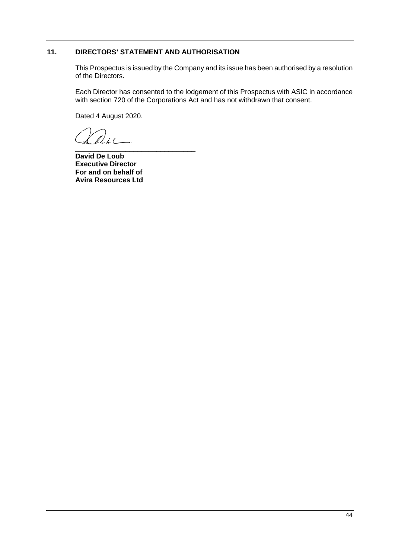# <span id="page-43-0"></span>**11. DIRECTORS' STATEMENT AND AUTHORISATION**

This Prospectus is issued by the Company and its issue has been authorised by a resolution of the Directors.

Each Director has consented to the lodgement of this Prospectus with ASIC in accordance with section 720 of the Corporations Act and has not withdrawn that consent.

Dated 4 August 2020.

 $\ell$ 

\_\_\_\_\_\_\_\_\_\_\_\_\_\_\_\_\_\_\_\_\_\_\_\_\_\_\_\_\_\_\_ **David De Loub Executive Director For and on behalf of Avira Resources Ltd**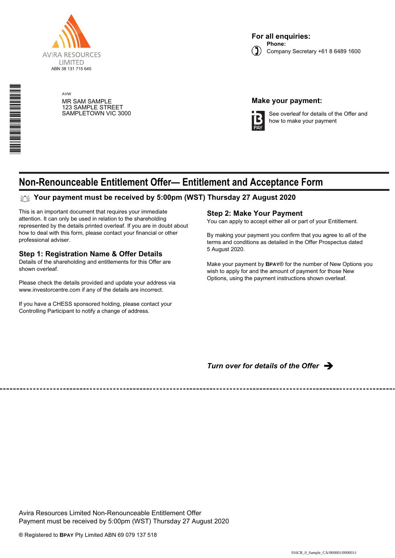

\*S000001Q01\*

AVW MR SAM SAMPLE 123 SAMPLE STREET SAMPLETOWN VIC 3000

# **Make your payment:**



See overleaf for details of the Offer and how to make your payment

# **Non-Renounceable Entitlement Offer— Entitlement and Acceptance Form**

# **Your payment must be received by 5:00pm (WST) Thursday 27 August 2020**

This is an important document that requires your immediate attention. It can only be used in relation to the shareholding represented by the details printed overleaf. If you are in doubt about how to deal with this form, please contact your financial or other professional adviser.

# **Step 1: Registration Name & Offer Details**

Details of the shareholding and entitlements for this Offer are shown overleaf.

Please check the details provided and update your address via www.investorcentre.com if any of the details are incorrect.

If you have a CHESS sponsored holding, please contact your Controlling Participant to notify a change of address.

# **Step 2: Make Your Payment**

You can apply to accept either all or part of your Entitlement.

By making your payment you confirm that you agree to all of the terms and conditions as detailed in the Offer Prospectus dated 5 August 2020.

Make your payment by **BPAY**® for the number of New Options you wish to apply for and the amount of payment for those New Options, using the payment instructions shown overleaf.

**Turn over for details of the Offer**  $\rightarrow$ 

Avira Resources Limited Non-Renounceable Entitlement Offer Payment must be received by 5:00pm (WST) Thursday 27 August 2020